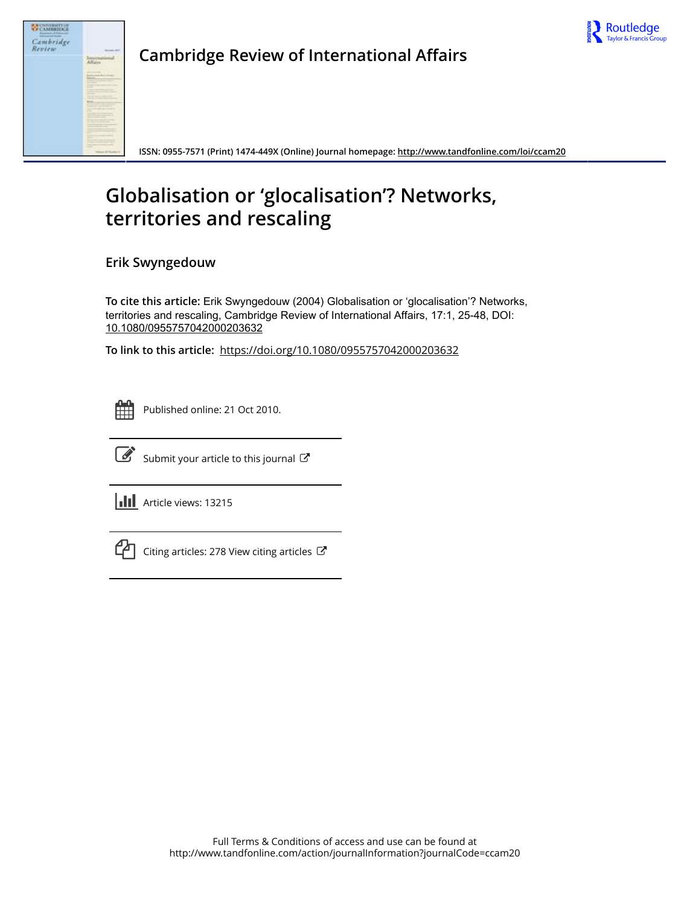



**Cambridge Review of International Affairs**

**ISSN: 0955-7571 (Print) 1474-449X (Online) Journal homepage: <http://www.tandfonline.com/loi/ccam20>**

# **Globalisation or 'glocalisation'? Networks, territories and rescaling**

**Erik Swyngedouw**

**To cite this article:** Erik Swyngedouw (2004) Globalisation or 'glocalisation'? Networks, territories and rescaling, Cambridge Review of International Affairs, 17:1, 25-48, DOI: [10.1080/0955757042000203632](http://www.tandfonline.com/action/showCitFormats?doi=10.1080/0955757042000203632)

**To link to this article:** <https://doi.org/10.1080/0955757042000203632>

|  | - |  |
|--|---|--|
|  |   |  |
|  |   |  |
|  |   |  |

Published online: 21 Oct 2010.



 $\overrightarrow{S}$  [Submit your article to this journal](http://www.tandfonline.com/action/authorSubmission?journalCode=ccam20&show=instructions)  $\overrightarrow{S}$ 

**III** Article views: 13215



 $\mathbb{C}$  [Citing articles: 278 View citing articles](http://www.tandfonline.com/doi/citedby/10.1080/0955757042000203632#tabModule)  $\mathbb{C}$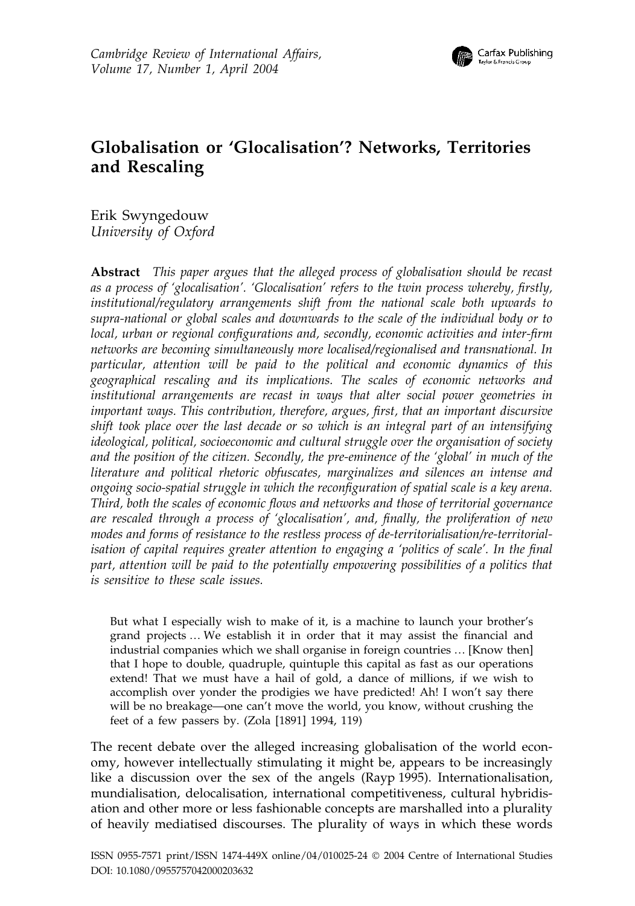

# **Globalisation or 'Glocalisation'? Networks, Territories and Rescaling**

Erik Swyngedouw *University of Oxford*

**Abstract** *This paper argues that the alleged process of globalisation should be recast as a process of 'glocalisation'. 'Glocalisation' refers to the twin process whereby, firstly, institutional/regulatory arrangements shift from the national scale both upwards to supra-national or global scales and downwards to the scale of the individual body or to local, urban or regional configurations and, secondly, economic activities and inter-firm networks are becoming simultaneously more localised/regionalised and transnational. In particular, attention will be paid to the political and economic dynamics of this geographical rescaling and its implications. The scales of economic networks and institutional arrangements are recast in ways that alter social power geometries in important ways. This contribution, therefore, argues, first, that an important discursive shift took place over the last decade or so which is an integral part of an intensifying ideological, political, socioeconomic and cultural struggle over the organisation of society and the position of the citizen. Secondly, the pre-eminence of the 'global' in much of the literature and political rhetoric obfuscates, marginalizes and silences an intense and ongoing socio-spatial struggle in which the reconfiguration of spatial scale is a key arena. Third, both the scales of economic flows and networks and those of territorial governance are rescaled through a process of 'glocalisation', and, finally, the proliferation of new modes and forms of resistance to the restless process of de-territorialisation/re-territorialisation of capital requires greater attention to engaging a 'politics of scale'. In the final part, attention will be paid to the potentially empowering possibilities of a politics that is sensitive to these scale issues.*

But what I especially wish to make of it, is a machine to launch your brother's grand projects … We establish it in order that it may assist the financial and industrial companies which we shall organise in foreign countries … [Know then] that I hope to double, quadruple, quintuple this capital as fast as our operations extend! That we must have a hail of gold, a dance of millions, if we wish to accomplish over yonder the prodigies we have predicted! Ah! I won't say there will be no breakage—one can't move the world, you know, without crushing the feet of a few passers by. (Zola [1891] 1994, 119)

The recent debate over the alleged increasing globalisation of the world economy, however intellectually stimulating it might be, appears to be increasingly like a discussion over the sex of the angels (Rayp 1995). Internationalisation, mundialisation, delocalisation, international competitiveness, cultural hybridisation and other more or less fashionable concepts are marshalled into a plurality of heavily mediatised discourses. The plurality of ways in which these words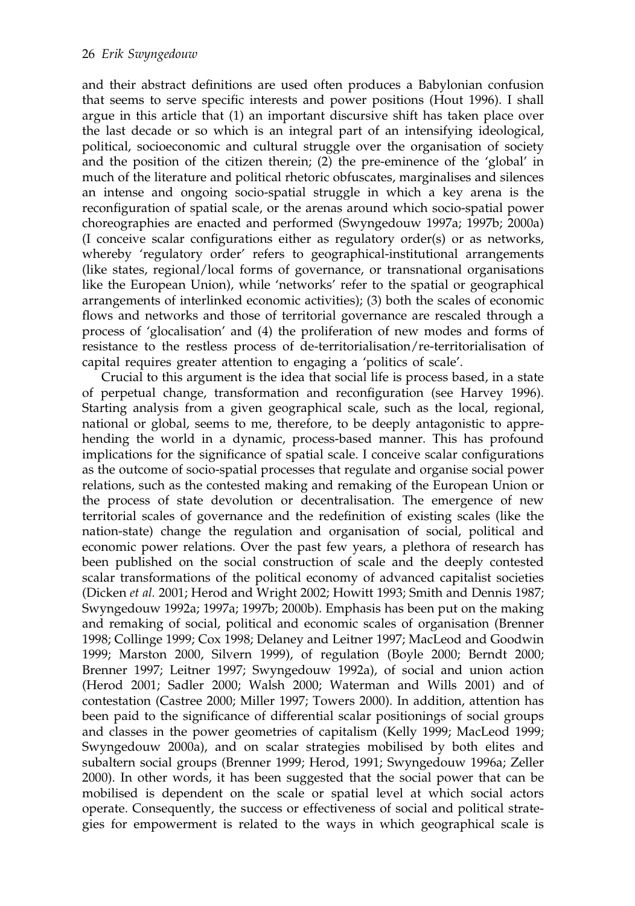and their abstract definitions are used often produces a Babylonian confusion that seems to serve specific interests and power positions (Hout 1996). I shall argue in this article that (1) an important discursive shift has taken place over the last decade or so which is an integral part of an intensifying ideological, political, socioeconomic and cultural struggle over the organisation of society and the position of the citizen therein; (2) the pre-eminence of the 'global' in much of the literature and political rhetoric obfuscates, marginalises and silences an intense and ongoing socio-spatial struggle in which a key arena is the reconfiguration of spatial scale, or the arenas around which socio-spatial power choreographies are enacted and performed (Swyngedouw 1997a; 1997b; 2000a) (I conceive scalar configurations either as regulatory order(s) or as networks, whereby 'regulatory order' refers to geographical-institutional arrangements (like states, regional/local forms of governance, or transnational organisations like the European Union), while 'networks' refer to the spatial or geographical arrangements of interlinked economic activities); (3) both the scales of economic flows and networks and those of territorial governance are rescaled through a process of 'glocalisation' and (4) the proliferation of new modes and forms of resistance to the restless process of de-territorialisation/re-territorialisation of capital requires greater attention to engaging a 'politics of scale'.

Crucial to this argument is the idea that social life is process based, in a state of perpetual change, transformation and reconfiguration (see Harvey 1996). Starting analysis from a given geographical scale, such as the local, regional, national or global, seems to me, therefore, to be deeply antagonistic to apprehending the world in a dynamic, process-based manner. This has profound implications for the significance of spatial scale. I conceive scalar configurations as the outcome of socio-spatial processes that regulate and organise social power relations, such as the contested making and remaking of the European Union or the process of state devolution or decentralisation. The emergence of new territorial scales of governance and the redefinition of existing scales (like the nation-state) change the regulation and organisation of social, political and economic power relations. Over the past few years, a plethora of research has been published on the social construction of scale and the deeply contested scalar transformations of the political economy of advanced capitalist societies (Dicken *et al.* 2001; Herod and Wright 2002; Howitt 1993; Smith and Dennis 1987; Swyngedouw 1992a; 1997a; 1997b; 2000b). Emphasis has been put on the making and remaking of social, political and economic scales of organisation (Brenner 1998; Collinge 1999; Cox 1998; Delaney and Leitner 1997; MacLeod and Goodwin 1999; Marston 2000, Silvern 1999), of regulation (Boyle 2000; Berndt 2000; Brenner 1997; Leitner 1997; Swyngedouw 1992a), of social and union action (Herod 2001; Sadler 2000; Walsh 2000; Waterman and Wills 2001) and of contestation (Castree 2000; Miller 1997; Towers 2000). In addition, attention has been paid to the significance of differential scalar positionings of social groups and classes in the power geometries of capitalism (Kelly 1999; MacLeod 1999; Swyngedouw 2000a), and on scalar strategies mobilised by both elites and subaltern social groups (Brenner 1999; Herod, 1991; Swyngedouw 1996a; Zeller 2000). In other words, it has been suggested that the social power that can be mobilised is dependent on the scale or spatial level at which social actors operate. Consequently, the success or effectiveness of social and political strategies for empowerment is related to the ways in which geographical scale is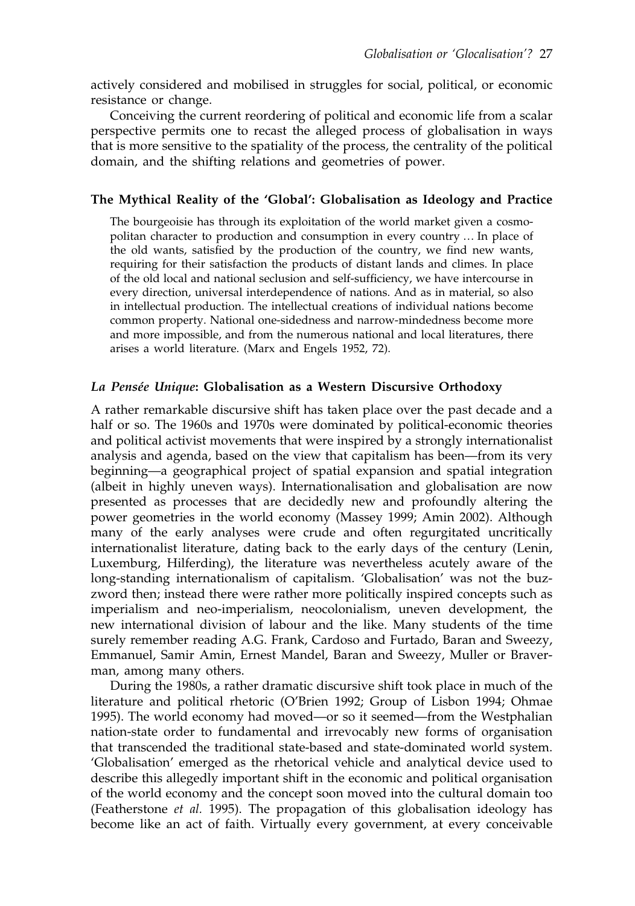actively considered and mobilised in struggles for social, political, or economic resistance or change.

Conceiving the current reordering of political and economic life from a scalar perspective permits one to recast the alleged process of globalisation in ways that is more sensitive to the spatiality of the process, the centrality of the political domain, and the shifting relations and geometries of power.

#### **The Mythical Reality of the 'Global': Globalisation as Ideology and Practice**

The bourgeoisie has through its exploitation of the world market given a cosmopolitan character to production and consumption in every country … In place of the old wants, satisfied by the production of the country, we find new wants, requiring for their satisfaction the products of distant lands and climes. In place of the old local and national seclusion and self-sufficiency, we have intercourse in every direction, universal interdependence of nations. And as in material, so also in intellectual production. The intellectual creations of individual nations become common property. National one-sidedness and narrow-mindedness become more and more impossible, and from the numerous national and local literatures, there arises a world literature. (Marx and Engels 1952, 72).

#### *La Pense´e Unique***: Globalisation as a Western Discursive Orthodoxy**

A rather remarkable discursive shift has taken place over the past decade and a half or so. The 1960s and 1970s were dominated by political-economic theories and political activist movements that were inspired by a strongly internationalist analysis and agenda, based on the view that capitalism has been—from its very beginning—a geographical project of spatial expansion and spatial integration (albeit in highly uneven ways). Internationalisation and globalisation are now presented as processes that are decidedly new and profoundly altering the power geometries in the world economy (Massey 1999; Amin 2002). Although many of the early analyses were crude and often regurgitated uncritically internationalist literature, dating back to the early days of the century (Lenin, Luxemburg, Hilferding), the literature was nevertheless acutely aware of the long-standing internationalism of capitalism. 'Globalisation' was not the buzzword then; instead there were rather more politically inspired concepts such as imperialism and neo-imperialism, neocolonialism, uneven development, the new international division of labour and the like. Many students of the time surely remember reading A.G. Frank, Cardoso and Furtado, Baran and Sweezy, Emmanuel, Samir Amin, Ernest Mandel, Baran and Sweezy, Muller or Braverman, among many others.

During the 1980s, a rather dramatic discursive shift took place in much of the literature and political rhetoric (O'Brien 1992; Group of Lisbon 1994; Ohmae 1995). The world economy had moved—or so it seemed—from the Westphalian nation-state order to fundamental and irrevocably new forms of organisation that transcended the traditional state-based and state-dominated world system. 'Globalisation' emerged as the rhetorical vehicle and analytical device used to describe this allegedly important shift in the economic and political organisation of the world economy and the concept soon moved into the cultural domain too (Featherstone *et al.* 1995). The propagation of this globalisation ideology has become like an act of faith. Virtually every government, at every conceivable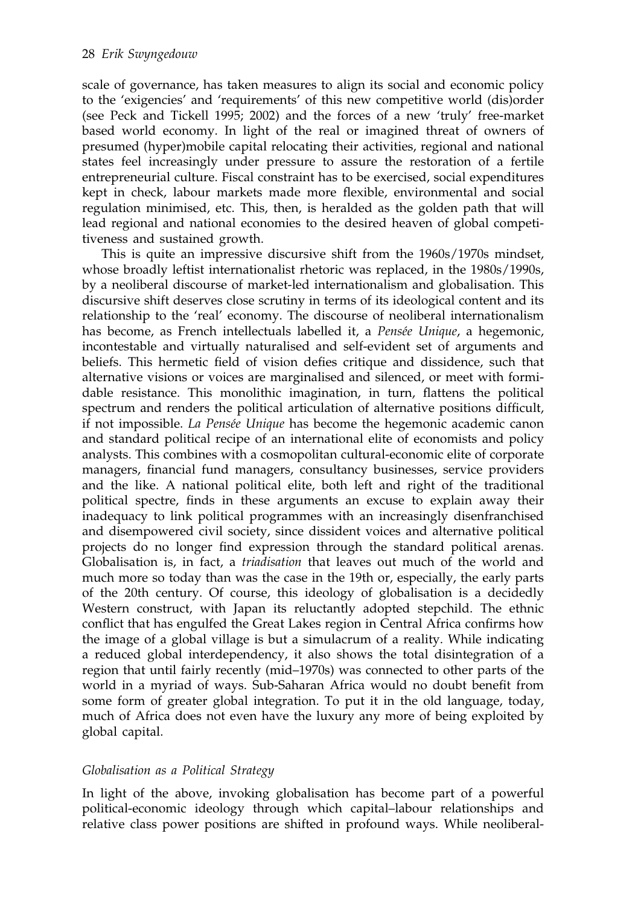scale of governance, has taken measures to align its social and economic policy to the 'exigencies' and 'requirements' of this new competitive world (dis)order (see Peck and Tickell 1995; 2002) and the forces of a new 'truly' free-market based world economy. In light of the real or imagined threat of owners of presumed (hyper)mobile capital relocating their activities, regional and national states feel increasingly under pressure to assure the restoration of a fertile entrepreneurial culture. Fiscal constraint has to be exercised, social expenditures kept in check, labour markets made more flexible, environmental and social regulation minimised, etc. This, then, is heralded as the golden path that will lead regional and national economies to the desired heaven of global competitiveness and sustained growth.

This is quite an impressive discursive shift from the 1960s/1970s mindset, whose broadly leftist internationalist rhetoric was replaced, in the 1980s/1990s, by a neoliberal discourse of market-led internationalism and globalisation. This discursive shift deserves close scrutiny in terms of its ideological content and its relationship to the 'real' economy. The discourse of neoliberal internationalism has become, as French intellectuals labelled it, a *Pensée Unique*, a hegemonic, incontestable and virtually naturalised and self-evident set of arguments and beliefs. This hermetic field of vision defies critique and dissidence, such that alternative visions or voices are marginalised and silenced, or meet with formidable resistance. This monolithic imagination, in turn, flattens the political spectrum and renders the political articulation of alternative positions difficult, if not impossible. *La Pensée Unique* has become the hegemonic academic canon and standard political recipe of an international elite of economists and policy analysts. This combines with a cosmopolitan cultural-economic elite of corporate managers, financial fund managers, consultancy businesses, service providers and the like. A national political elite, both left and right of the traditional political spectre, finds in these arguments an excuse to explain away their inadequacy to link political programmes with an increasingly disenfranchised and disempowered civil society, since dissident voices and alternative political projects do no longer find expression through the standard political arenas. Globalisation is, in fact, a *triadisation* that leaves out much of the world and much more so today than was the case in the 19th or, especially, the early parts of the 20th century. Of course, this ideology of globalisation is a decidedly Western construct, with Japan its reluctantly adopted stepchild. The ethnic conflict that has engulfed the Great Lakes region in Central Africa confirms how the image of a global village is but a simulacrum of a reality. While indicating a reduced global interdependency, it also shows the total disintegration of a region that until fairly recently (mid–1970s) was connected to other parts of the world in a myriad of ways. Sub-Saharan Africa would no doubt benefit from some form of greater global integration. To put it in the old language, today, much of Africa does not even have the luxury any more of being exploited by global capital.

# *Globalisation as a Political Strategy*

In light of the above, invoking globalisation has become part of a powerful political-economic ideology through which capital–labour relationships and relative class power positions are shifted in profound ways. While neoliberal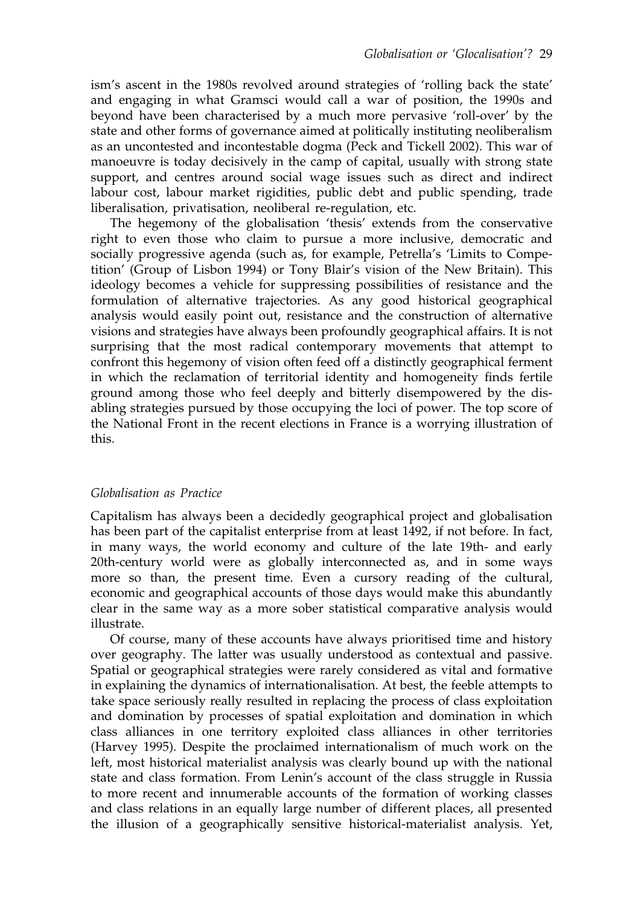ism's ascent in the 1980s revolved around strategies of 'rolling back the state' and engaging in what Gramsci would call a war of position, the 1990s and beyond have been characterised by a much more pervasive 'roll-over' by the state and other forms of governance aimed at politically instituting neoliberalism as an uncontested and incontestable dogma (Peck and Tickell 2002). This war of manoeuvre is today decisively in the camp of capital, usually with strong state support, and centres around social wage issues such as direct and indirect labour cost, labour market rigidities, public debt and public spending, trade liberalisation, privatisation, neoliberal re-regulation, etc.

The hegemony of the globalisation 'thesis' extends from the conservative right to even those who claim to pursue a more inclusive, democratic and socially progressive agenda (such as, for example, Petrella's 'Limits to Competition' (Group of Lisbon 1994) or Tony Blair's vision of the New Britain). This ideology becomes a vehicle for suppressing possibilities of resistance and the formulation of alternative trajectories. As any good historical geographical analysis would easily point out, resistance and the construction of alternative visions and strategies have always been profoundly geographical affairs. It is not surprising that the most radical contemporary movements that attempt to confront this hegemony of vision often feed off a distinctly geographical ferment in which the reclamation of territorial identity and homogeneity finds fertile ground among those who feel deeply and bitterly disempowered by the disabling strategies pursued by those occupying the loci of power. The top score of the National Front in the recent elections in France is a worrying illustration of this.

# *Globalisation as Practice*

Capitalism has always been a decidedly geographical project and globalisation has been part of the capitalist enterprise from at least 1492, if not before. In fact, in many ways, the world economy and culture of the late 19th- and early 20th-century world were as globally interconnected as, and in some ways more so than, the present time. Even a cursory reading of the cultural, economic and geographical accounts of those days would make this abundantly clear in the same way as a more sober statistical comparative analysis would illustrate.

Of course, many of these accounts have always prioritised time and history over geography. The latter was usually understood as contextual and passive. Spatial or geographical strategies were rarely considered as vital and formative in explaining the dynamics of internationalisation. At best, the feeble attempts to take space seriously really resulted in replacing the process of class exploitation and domination by processes of spatial exploitation and domination in which class alliances in one territory exploited class alliances in other territories (Harvey 1995). Despite the proclaimed internationalism of much work on the left, most historical materialist analysis was clearly bound up with the national state and class formation. From Lenin's account of the class struggle in Russia to more recent and innumerable accounts of the formation of working classes and class relations in an equally large number of different places, all presented the illusion of a geographically sensitive historical-materialist analysis. Yet,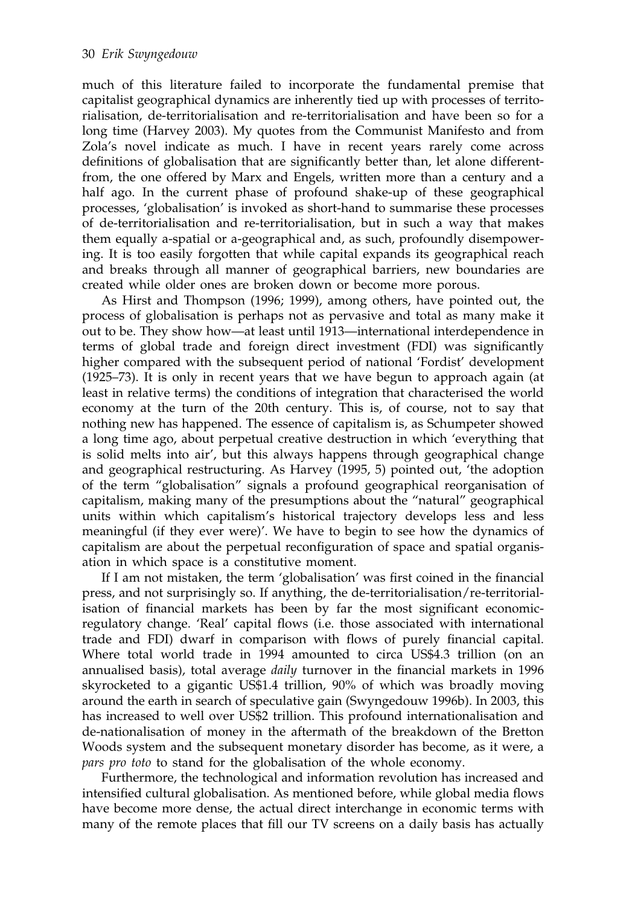much of this literature failed to incorporate the fundamental premise that capitalist geographical dynamics are inherently tied up with processes of territorialisation, de-territorialisation and re-territorialisation and have been so for a long time (Harvey 2003). My quotes from the Communist Manifesto and from Zola's novel indicate as much. I have in recent years rarely come across definitions of globalisation that are significantly better than, let alone differentfrom, the one offered by Marx and Engels, written more than a century and a half ago. In the current phase of profound shake-up of these geographical processes, 'globalisation' is invoked as short-hand to summarise these processes of de-territorialisation and re-territorialisation, but in such a way that makes them equally a-spatial or a-geographical and, as such, profoundly disempowering. It is too easily forgotten that while capital expands its geographical reach and breaks through all manner of geographical barriers, new boundaries are created while older ones are broken down or become more porous.

As Hirst and Thompson (1996; 1999), among others, have pointed out, the process of globalisation is perhaps not as pervasive and total as many make it out to be. They show how—at least until 1913—international interdependence in terms of global trade and foreign direct investment (FDI) was significantly higher compared with the subsequent period of national 'Fordist' development (1925–73). It is only in recent years that we have begun to approach again (at least in relative terms) the conditions of integration that characterised the world economy at the turn of the 20th century. This is, of course, not to say that nothing new has happened. The essence of capitalism is, as Schumpeter showed a long time ago, about perpetual creative destruction in which 'everything that is solid melts into air', but this always happens through geographical change and geographical restructuring. As Harvey (1995, 5) pointed out, 'the adoption of the term "globalisation" signals a profound geographical reorganisation of capitalism, making many of the presumptions about the "natural" geographical units within which capitalism's historical trajectory develops less and less meaningful (if they ever were)'. We have to begin to see how the dynamics of capitalism are about the perpetual reconfiguration of space and spatial organisation in which space is a constitutive moment.

If I am not mistaken, the term 'globalisation' was first coined in the financial press, and not surprisingly so. If anything, the de-territorialisation/re-territorialisation of financial markets has been by far the most significant economicregulatory change. 'Real' capital flows (i.e. those associated with international trade and FDI) dwarf in comparison with flows of purely financial capital. Where total world trade in 1994 amounted to circa US\$4.3 trillion (on an annualised basis), total average *daily* turnover in the financial markets in 1996 skyrocketed to a gigantic US\$1.4 trillion, 90% of which was broadly moving around the earth in search of speculative gain (Swyngedouw 1996b). In 2003, this has increased to well over US\$2 trillion. This profound internationalisation and de-nationalisation of money in the aftermath of the breakdown of the Bretton Woods system and the subsequent monetary disorder has become, as it were, a *pars pro toto* to stand for the globalisation of the whole economy.

Furthermore, the technological and information revolution has increased and intensified cultural globalisation. As mentioned before, while global media flows have become more dense, the actual direct interchange in economic terms with many of the remote places that fill our TV screens on a daily basis has actually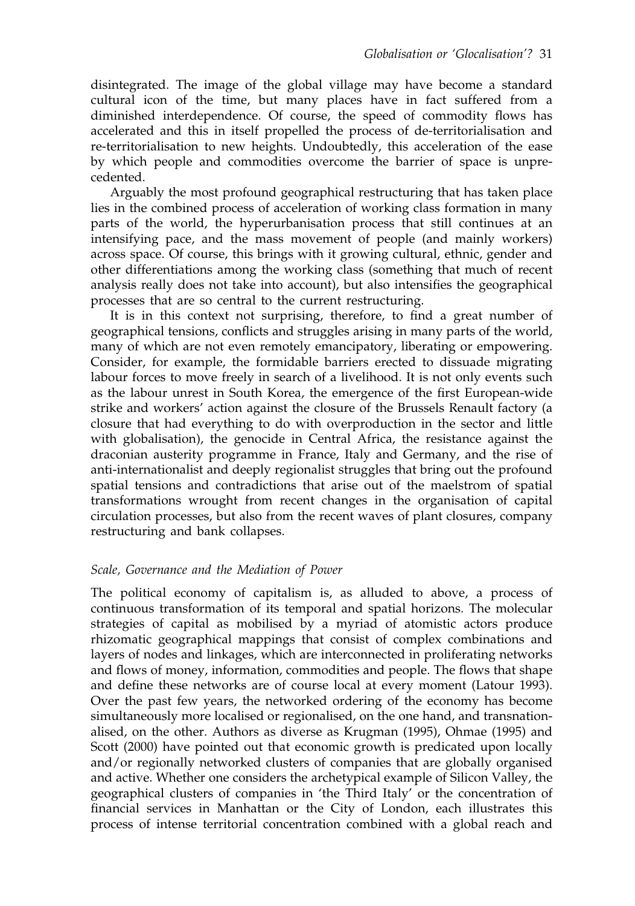disintegrated. The image of the global village may have become a standard cultural icon of the time, but many places have in fact suffered from a diminished interdependence. Of course, the speed of commodity flows has accelerated and this in itself propelled the process of de-territorialisation and re-territorialisation to new heights. Undoubtedly, this acceleration of the ease by which people and commodities overcome the barrier of space is unprecedented.

Arguably the most profound geographical restructuring that has taken place lies in the combined process of acceleration of working class formation in many parts of the world, the hyperurbanisation process that still continues at an intensifying pace, and the mass movement of people (and mainly workers) across space. Of course, this brings with it growing cultural, ethnic, gender and other differentiations among the working class (something that much of recent analysis really does not take into account), but also intensifies the geographical processes that are so central to the current restructuring.

It is in this context not surprising, therefore, to find a great number of geographical tensions, conflicts and struggles arising in many parts of the world, many of which are not even remotely emancipatory, liberating or empowering. Consider, for example, the formidable barriers erected to dissuade migrating labour forces to move freely in search of a livelihood. It is not only events such as the labour unrest in South Korea, the emergence of the first European-wide strike and workers' action against the closure of the Brussels Renault factory (a closure that had everything to do with overproduction in the sector and little with globalisation), the genocide in Central Africa, the resistance against the draconian austerity programme in France, Italy and Germany, and the rise of anti-internationalist and deeply regionalist struggles that bring out the profound spatial tensions and contradictions that arise out of the maelstrom of spatial transformations wrought from recent changes in the organisation of capital circulation processes, but also from the recent waves of plant closures, company restructuring and bank collapses.

#### *Scale, Governance and the Mediation of Power*

The political economy of capitalism is, as alluded to above, a process of continuous transformation of its temporal and spatial horizons. The molecular strategies of capital as mobilised by a myriad of atomistic actors produce rhizomatic geographical mappings that consist of complex combinations and layers of nodes and linkages, which are interconnected in proliferating networks and flows of money, information, commodities and people. The flows that shape and define these networks are of course local at every moment (Latour 1993). Over the past few years, the networked ordering of the economy has become simultaneously more localised or regionalised, on the one hand, and transnationalised, on the other. Authors as diverse as Krugman (1995), Ohmae (1995) and Scott (2000) have pointed out that economic growth is predicated upon locally and/or regionally networked clusters of companies that are globally organised and active. Whether one considers the archetypical example of Silicon Valley, the geographical clusters of companies in 'the Third Italy' or the concentration of financial services in Manhattan or the City of London, each illustrates this process of intense territorial concentration combined with a global reach and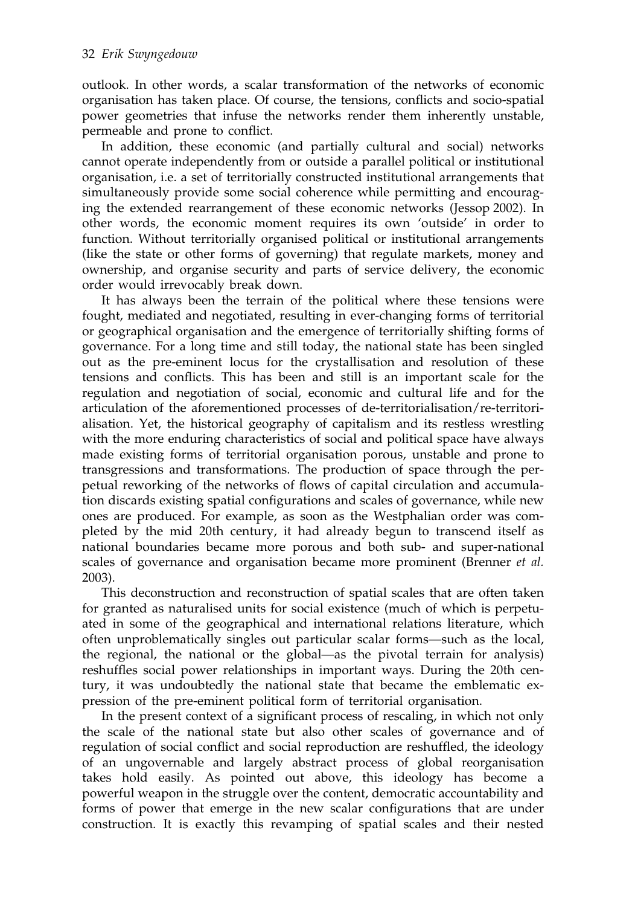outlook. In other words, a scalar transformation of the networks of economic organisation has taken place. Of course, the tensions, conflicts and socio-spatial power geometries that infuse the networks render them inherently unstable, permeable and prone to conflict.

In addition, these economic (and partially cultural and social) networks cannot operate independently from or outside a parallel political or institutional organisation, i.e. a set of territorially constructed institutional arrangements that simultaneously provide some social coherence while permitting and encouraging the extended rearrangement of these economic networks (Jessop 2002). In other words, the economic moment requires its own 'outside' in order to function. Without territorially organised political or institutional arrangements (like the state or other forms of governing) that regulate markets, money and ownership, and organise security and parts of service delivery, the economic order would irrevocably break down.

It has always been the terrain of the political where these tensions were fought, mediated and negotiated, resulting in ever-changing forms of territorial or geographical organisation and the emergence of territorially shifting forms of governance. For a long time and still today, the national state has been singled out as the pre-eminent locus for the crystallisation and resolution of these tensions and conflicts. This has been and still is an important scale for the regulation and negotiation of social, economic and cultural life and for the articulation of the aforementioned processes of de-territorialisation/re-territorialisation. Yet, the historical geography of capitalism and its restless wrestling with the more enduring characteristics of social and political space have always made existing forms of territorial organisation porous, unstable and prone to transgressions and transformations. The production of space through the perpetual reworking of the networks of flows of capital circulation and accumulation discards existing spatial configurations and scales of governance, while new ones are produced. For example, as soon as the Westphalian order was completed by the mid 20th century, it had already begun to transcend itself as national boundaries became more porous and both sub- and super-national scales of governance and organisation became more prominent (Brenner *et al.* 2003).

This deconstruction and reconstruction of spatial scales that are often taken for granted as naturalised units for social existence (much of which is perpetuated in some of the geographical and international relations literature, which often unproblematically singles out particular scalar forms—such as the local, the regional, the national or the global—as the pivotal terrain for analysis) reshuffles social power relationships in important ways. During the 20th century, it was undoubtedly the national state that became the emblematic expression of the pre-eminent political form of territorial organisation.

In the present context of a significant process of rescaling, in which not only the scale of the national state but also other scales of governance and of regulation of social conflict and social reproduction are reshuffled, the ideology of an ungovernable and largely abstract process of global reorganisation takes hold easily. As pointed out above, this ideology has become a powerful weapon in the struggle over the content, democratic accountability and forms of power that emerge in the new scalar configurations that are under construction. It is exactly this revamping of spatial scales and their nested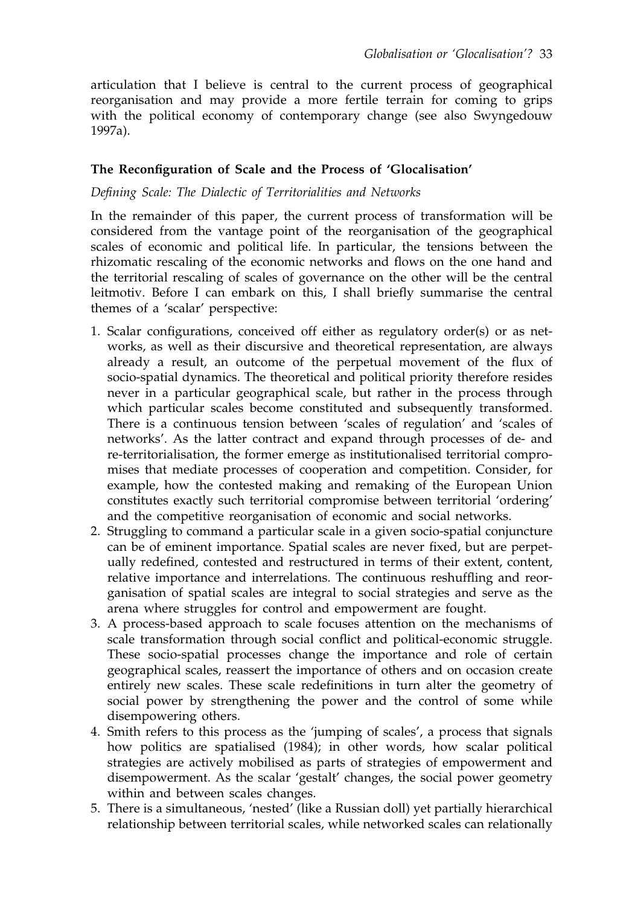articulation that I believe is central to the current process of geographical reorganisation and may provide a more fertile terrain for coming to grips with the political economy of contemporary change (see also Swyngedouw 1997a).

#### **The Reconfiguration of Scale and the Process of 'Glocalisation'**

#### *Defining Scale: The Dialectic of Territorialities and Networks*

In the remainder of this paper, the current process of transformation will be considered from the vantage point of the reorganisation of the geographical scales of economic and political life. In particular, the tensions between the rhizomatic rescaling of the economic networks and flows on the one hand and the territorial rescaling of scales of governance on the other will be the central leitmotiv. Before I can embark on this, I shall briefly summarise the central themes of a 'scalar' perspective:

- 1. Scalar configurations, conceived off either as regulatory order(s) or as networks, as well as their discursive and theoretical representation, are always already a result, an outcome of the perpetual movement of the flux of socio-spatial dynamics. The theoretical and political priority therefore resides never in a particular geographical scale, but rather in the process through which particular scales become constituted and subsequently transformed. There is a continuous tension between 'scales of regulation' and 'scales of networks'. As the latter contract and expand through processes of de- and re-territorialisation, the former emerge as institutionalised territorial compromises that mediate processes of cooperation and competition. Consider, for example, how the contested making and remaking of the European Union constitutes exactly such territorial compromise between territorial 'ordering' and the competitive reorganisation of economic and social networks.
- 2. Struggling to command a particular scale in a given socio-spatial conjuncture can be of eminent importance. Spatial scales are never fixed, but are perpetually redefined, contested and restructured in terms of their extent, content, relative importance and interrelations. The continuous reshuffling and reorganisation of spatial scales are integral to social strategies and serve as the arena where struggles for control and empowerment are fought.
- 3. A process-based approach to scale focuses attention on the mechanisms of scale transformation through social conflict and political-economic struggle. These socio-spatial processes change the importance and role of certain geographical scales, reassert the importance of others and on occasion create entirely new scales. These scale redefinitions in turn alter the geometry of social power by strengthening the power and the control of some while disempowering others.
- 4. Smith refers to this process as the 'jumping of scales', a process that signals how politics are spatialised (1984); in other words, how scalar political strategies are actively mobilised as parts of strategies of empowerment and disempowerment. As the scalar 'gestalt' changes, the social power geometry within and between scales changes.
- 5. There is a simultaneous, 'nested' (like a Russian doll) yet partially hierarchical relationship between territorial scales, while networked scales can relationally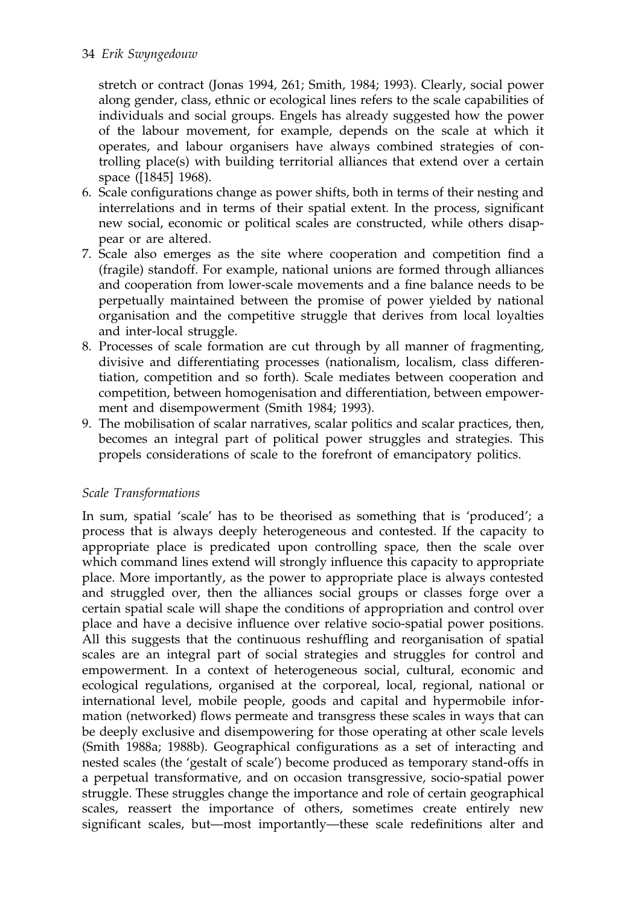# 34 *Erik Swyngedouw*

stretch or contract (Jonas 1994, 261; Smith, 1984; 1993). Clearly, social power along gender, class, ethnic or ecological lines refers to the scale capabilities of individuals and social groups. Engels has already suggested how the power of the labour movement, for example, depends on the scale at which it operates, and labour organisers have always combined strategies of controlling place(s) with building territorial alliances that extend over a certain space ([1845] 1968).

- 6. Scale configurations change as power shifts, both in terms of their nesting and interrelations and in terms of their spatial extent. In the process, significant new social, economic or political scales are constructed, while others disappear or are altered.
- 7. Scale also emerges as the site where cooperation and competition find a (fragile) standoff. For example, national unions are formed through alliances and cooperation from lower-scale movements and a fine balance needs to be perpetually maintained between the promise of power yielded by national organisation and the competitive struggle that derives from local loyalties and inter-local struggle.
- 8. Processes of scale formation are cut through by all manner of fragmenting, divisive and differentiating processes (nationalism, localism, class differentiation, competition and so forth). Scale mediates between cooperation and competition, between homogenisation and differentiation, between empowerment and disempowerment (Smith 1984; 1993).
- 9. The mobilisation of scalar narratives, scalar politics and scalar practices, then, becomes an integral part of political power struggles and strategies. This propels considerations of scale to the forefront of emancipatory politics.

# *Scale Transformations*

In sum, spatial 'scale' has to be theorised as something that is 'produced'; a process that is always deeply heterogeneous and contested. If the capacity to appropriate place is predicated upon controlling space, then the scale over which command lines extend will strongly influence this capacity to appropriate place. More importantly, as the power to appropriate place is always contested and struggled over, then the alliances social groups or classes forge over a certain spatial scale will shape the conditions of appropriation and control over place and have a decisive influence over relative socio-spatial power positions. All this suggests that the continuous reshuffling and reorganisation of spatial scales are an integral part of social strategies and struggles for control and empowerment. In a context of heterogeneous social, cultural, economic and ecological regulations, organised at the corporeal, local, regional, national or international level, mobile people, goods and capital and hypermobile information (networked) flows permeate and transgress these scales in ways that can be deeply exclusive and disempowering for those operating at other scale levels (Smith 1988a; 1988b). Geographical configurations as a set of interacting and nested scales (the 'gestalt of scale') become produced as temporary stand-offs in a perpetual transformative, and on occasion transgressive, socio-spatial power struggle. These struggles change the importance and role of certain geographical scales, reassert the importance of others, sometimes create entirely new significant scales, but—most importantly—these scale redefinitions alter and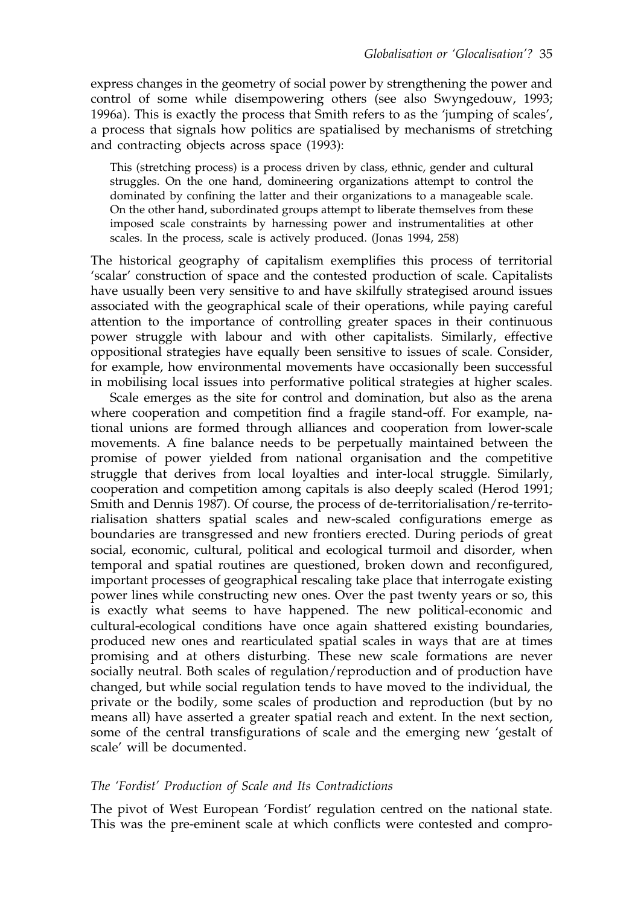express changes in the geometry of social power by strengthening the power and control of some while disempowering others (see also Swyngedouw, 1993; 1996a). This is exactly the process that Smith refers to as the 'jumping of scales', a process that signals how politics are spatialised by mechanisms of stretching and contracting objects across space (1993):

This (stretching process) is a process driven by class, ethnic, gender and cultural struggles. On the one hand, domineering organizations attempt to control the dominated by confining the latter and their organizations to a manageable scale. On the other hand, subordinated groups attempt to liberate themselves from these imposed scale constraints by harnessing power and instrumentalities at other scales. In the process, scale is actively produced. (Jonas 1994, 258)

The historical geography of capitalism exemplifies this process of territorial 'scalar' construction of space and the contested production of scale. Capitalists have usually been very sensitive to and have skilfully strategised around issues associated with the geographical scale of their operations, while paying careful attention to the importance of controlling greater spaces in their continuous power struggle with labour and with other capitalists. Similarly, effective oppositional strategies have equally been sensitive to issues of scale. Consider, for example, how environmental movements have occasionally been successful in mobilising local issues into performative political strategies at higher scales.

Scale emerges as the site for control and domination, but also as the arena where cooperation and competition find a fragile stand-off. For example, national unions are formed through alliances and cooperation from lower-scale movements. A fine balance needs to be perpetually maintained between the promise of power yielded from national organisation and the competitive struggle that derives from local loyalties and inter-local struggle. Similarly, cooperation and competition among capitals is also deeply scaled (Herod 1991; Smith and Dennis 1987). Of course, the process of de-territorialisation/re-territorialisation shatters spatial scales and new-scaled configurations emerge as boundaries are transgressed and new frontiers erected. During periods of great social, economic, cultural, political and ecological turmoil and disorder, when temporal and spatial routines are questioned, broken down and reconfigured, important processes of geographical rescaling take place that interrogate existing power lines while constructing new ones. Over the past twenty years or so, this is exactly what seems to have happened. The new political-economic and cultural-ecological conditions have once again shattered existing boundaries, produced new ones and rearticulated spatial scales in ways that are at times promising and at others disturbing. These new scale formations are never socially neutral. Both scales of regulation/reproduction and of production have changed, but while social regulation tends to have moved to the individual, the private or the bodily, some scales of production and reproduction (but by no means all) have asserted a greater spatial reach and extent. In the next section, some of the central transfigurations of scale and the emerging new 'gestalt of scale' will be documented.

# *The 'Fordist' Production of Scale and Its Contradictions*

The pivot of West European 'Fordist' regulation centred on the national state. This was the pre-eminent scale at which conflicts were contested and compro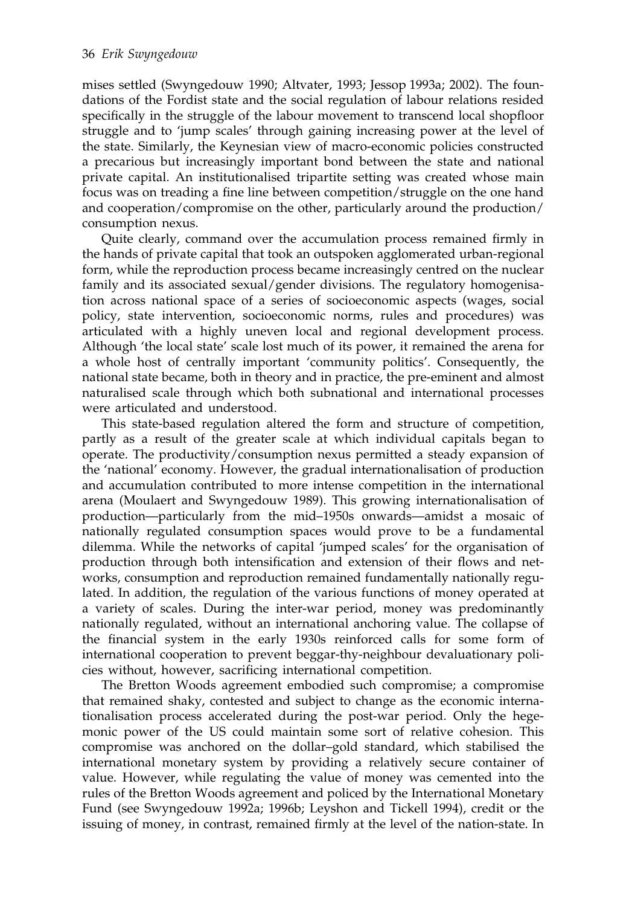mises settled (Swyngedouw 1990; Altvater, 1993; Jessop 1993a; 2002). The foundations of the Fordist state and the social regulation of labour relations resided specifically in the struggle of the labour movement to transcend local shopfloor struggle and to 'jump scales' through gaining increasing power at the level of the state. Similarly, the Keynesian view of macro-economic policies constructed a precarious but increasingly important bond between the state and national private capital. An institutionalised tripartite setting was created whose main focus was on treading a fine line between competition/struggle on the one hand and cooperation/compromise on the other, particularly around the production/ consumption nexus.

Quite clearly, command over the accumulation process remained firmly in the hands of private capital that took an outspoken agglomerated urban-regional form, while the reproduction process became increasingly centred on the nuclear family and its associated sexual/gender divisions. The regulatory homogenisation across national space of a series of socioeconomic aspects (wages, social policy, state intervention, socioeconomic norms, rules and procedures) was articulated with a highly uneven local and regional development process. Although 'the local state' scale lost much of its power, it remained the arena for a whole host of centrally important 'community politics'. Consequently, the national state became, both in theory and in practice, the pre-eminent and almost naturalised scale through which both subnational and international processes were articulated and understood.

This state-based regulation altered the form and structure of competition, partly as a result of the greater scale at which individual capitals began to operate. The productivity/consumption nexus permitted a steady expansion of the 'national' economy. However, the gradual internationalisation of production and accumulation contributed to more intense competition in the international arena (Moulaert and Swyngedouw 1989). This growing internationalisation of production—particularly from the mid–1950s onwards—amidst a mosaic of nationally regulated consumption spaces would prove to be a fundamental dilemma. While the networks of capital 'jumped scales' for the organisation of production through both intensification and extension of their flows and networks, consumption and reproduction remained fundamentally nationally regulated. In addition, the regulation of the various functions of money operated at a variety of scales. During the inter-war period, money was predominantly nationally regulated, without an international anchoring value. The collapse of the financial system in the early 1930s reinforced calls for some form of international cooperation to prevent beggar-thy-neighbour devaluationary policies without, however, sacrificing international competition.

The Bretton Woods agreement embodied such compromise; a compromise that remained shaky, contested and subject to change as the economic internationalisation process accelerated during the post-war period. Only the hegemonic power of the US could maintain some sort of relative cohesion. This compromise was anchored on the dollar–gold standard, which stabilised the international monetary system by providing a relatively secure container of value. However, while regulating the value of money was cemented into the rules of the Bretton Woods agreement and policed by the International Monetary Fund (see Swyngedouw 1992a; 1996b; Leyshon and Tickell 1994), credit or the issuing of money, in contrast, remained firmly at the level of the nation-state. In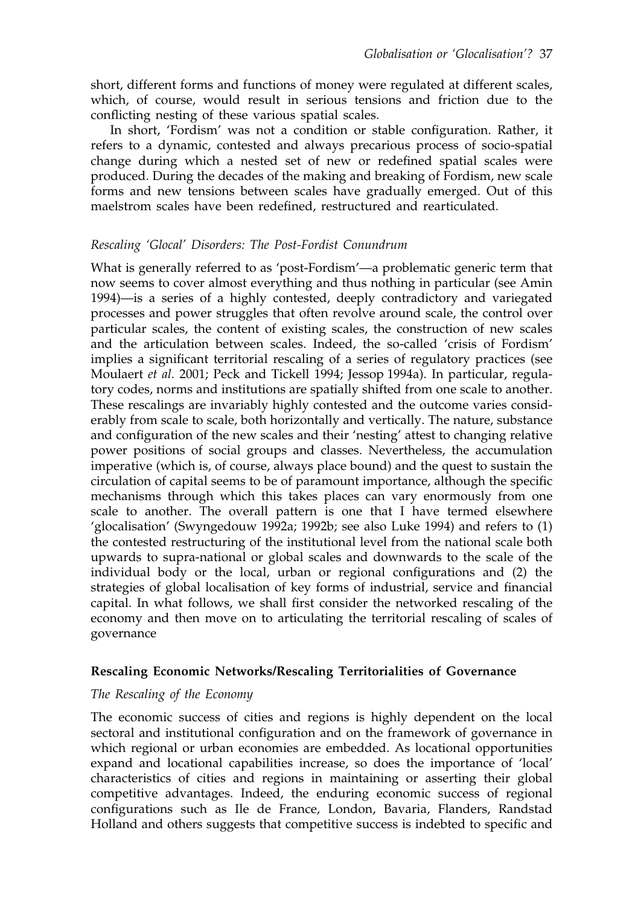short, different forms and functions of money were regulated at different scales, which, of course, would result in serious tensions and friction due to the conflicting nesting of these various spatial scales.

In short, 'Fordism' was not a condition or stable configuration. Rather, it refers to a dynamic, contested and always precarious process of socio-spatial change during which a nested set of new or redefined spatial scales were produced. During the decades of the making and breaking of Fordism, new scale forms and new tensions between scales have gradually emerged. Out of this maelstrom scales have been redefined, restructured and rearticulated.

#### *Rescaling 'Glocal' Disorders: The Post-Fordist Conundrum*

What is generally referred to as 'post-Fordism'—a problematic generic term that now seems to cover almost everything and thus nothing in particular (see Amin 1994)—is a series of a highly contested, deeply contradictory and variegated processes and power struggles that often revolve around scale, the control over particular scales, the content of existing scales, the construction of new scales and the articulation between scales. Indeed, the so-called 'crisis of Fordism' implies a significant territorial rescaling of a series of regulatory practices (see Moulaert *et al.* 2001; Peck and Tickell 1994; Jessop 1994a). In particular, regulatory codes, norms and institutions are spatially shifted from one scale to another. These rescalings are invariably highly contested and the outcome varies considerably from scale to scale, both horizontally and vertically. The nature, substance and configuration of the new scales and their 'nesting' attest to changing relative power positions of social groups and classes. Nevertheless, the accumulation imperative (which is, of course, always place bound) and the quest to sustain the circulation of capital seems to be of paramount importance, although the specific mechanisms through which this takes places can vary enormously from one scale to another. The overall pattern is one that I have termed elsewhere 'glocalisation' (Swyngedouw 1992a; 1992b; see also Luke 1994) and refers to (1) the contested restructuring of the institutional level from the national scale both upwards to supra-national or global scales and downwards to the scale of the individual body or the local, urban or regional configurations and (2) the strategies of global localisation of key forms of industrial, service and financial capital. In what follows, we shall first consider the networked rescaling of the economy and then move on to articulating the territorial rescaling of scales of governance

#### **Rescaling Economic Networks/Rescaling Territorialities of Governance**

# *The Rescaling of the Economy*

The economic success of cities and regions is highly dependent on the local sectoral and institutional configuration and on the framework of governance in which regional or urban economies are embedded. As locational opportunities expand and locational capabilities increase, so does the importance of 'local' characteristics of cities and regions in maintaining or asserting their global competitive advantages. Indeed, the enduring economic success of regional configurations such as Ile de France, London, Bavaria, Flanders, Randstad Holland and others suggests that competitive success is indebted to specific and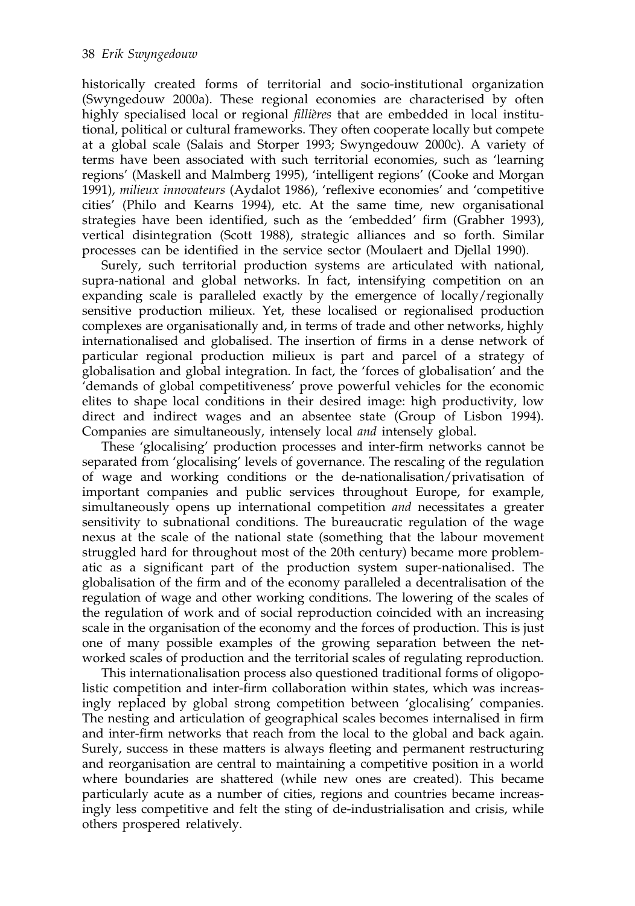historically created forms of territorial and socio-institutional organization (Swyngedouw 2000a). These regional economies are characterised by often highly specialised local or regional *fillières* that are embedded in local institutional, political or cultural frameworks. They often cooperate locally but compete at a global scale (Salais and Storper 1993; Swyngedouw 2000c). A variety of terms have been associated with such territorial economies, such as 'learning regions' (Maskell and Malmberg 1995), 'intelligent regions' (Cooke and Morgan 1991), *milieux innovateurs* (Aydalot 1986), 'reflexive economies' and 'competitive cities' (Philo and Kearns 1994), etc. At the same time, new organisational strategies have been identified, such as the 'embedded' firm (Grabher 1993), vertical disintegration (Scott 1988), strategic alliances and so forth. Similar processes can be identified in the service sector (Moulaert and Djellal 1990).

Surely, such territorial production systems are articulated with national, supra-national and global networks. In fact, intensifying competition on an expanding scale is paralleled exactly by the emergence of locally/regionally sensitive production milieux. Yet, these localised or regionalised production complexes are organisationally and, in terms of trade and other networks, highly internationalised and globalised. The insertion of firms in a dense network of particular regional production milieux is part and parcel of a strategy of globalisation and global integration. In fact, the 'forces of globalisation' and the 'demands of global competitiveness' prove powerful vehicles for the economic elites to shape local conditions in their desired image: high productivity, low direct and indirect wages and an absentee state (Group of Lisbon 1994). Companies are simultaneously, intensely local *and* intensely global.

These 'glocalising' production processes and inter-firm networks cannot be separated from 'glocalising' levels of governance. The rescaling of the regulation of wage and working conditions or the de-nationalisation/privatisation of important companies and public services throughout Europe, for example, simultaneously opens up international competition *and* necessitates a greater sensitivity to subnational conditions. The bureaucratic regulation of the wage nexus at the scale of the national state (something that the labour movement struggled hard for throughout most of the 20th century) became more problematic as a significant part of the production system super-nationalised. The globalisation of the firm and of the economy paralleled a decentralisation of the regulation of wage and other working conditions. The lowering of the scales of the regulation of work and of social reproduction coincided with an increasing scale in the organisation of the economy and the forces of production. This is just one of many possible examples of the growing separation between the networked scales of production and the territorial scales of regulating reproduction.

This internationalisation process also questioned traditional forms of oligopolistic competition and inter-firm collaboration within states, which was increasingly replaced by global strong competition between 'glocalising' companies. The nesting and articulation of geographical scales becomes internalised in firm and inter-firm networks that reach from the local to the global and back again. Surely, success in these matters is always fleeting and permanent restructuring and reorganisation are central to maintaining a competitive position in a world where boundaries are shattered (while new ones are created). This became particularly acute as a number of cities, regions and countries became increasingly less competitive and felt the sting of de-industrialisation and crisis, while others prospered relatively.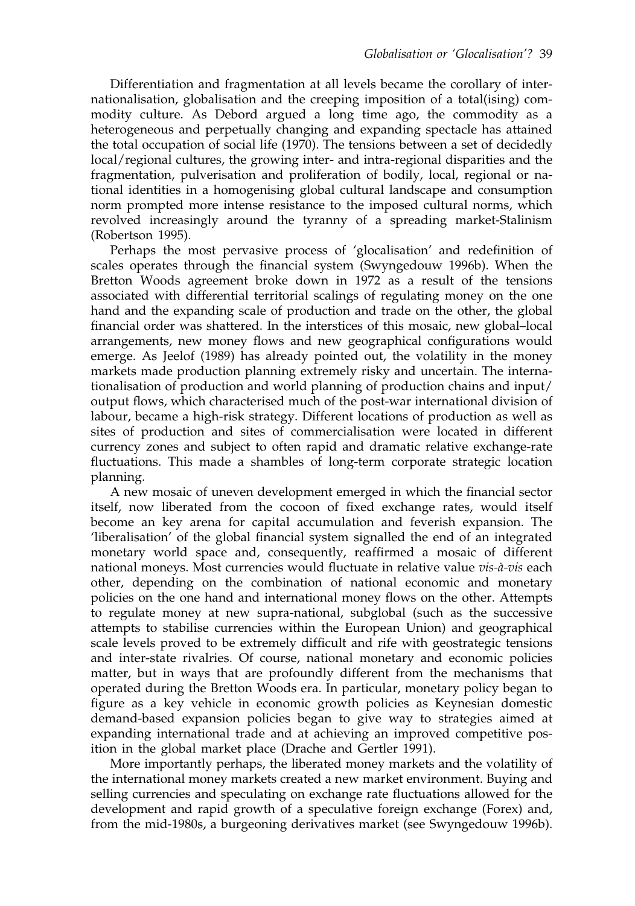Differentiation and fragmentation at all levels became the corollary of internationalisation, globalisation and the creeping imposition of a total(ising) commodity culture. As Debord argued a long time ago, the commodity as a heterogeneous and perpetually changing and expanding spectacle has attained the total occupation of social life (1970). The tensions between a set of decidedly local/regional cultures, the growing inter- and intra-regional disparities and the fragmentation, pulverisation and proliferation of bodily, local, regional or national identities in a homogenising global cultural landscape and consumption norm prompted more intense resistance to the imposed cultural norms, which revolved increasingly around the tyranny of a spreading market-Stalinism (Robertson 1995).

Perhaps the most pervasive process of 'glocalisation' and redefinition of scales operates through the financial system (Swyngedouw 1996b). When the Bretton Woods agreement broke down in 1972 as a result of the tensions associated with differential territorial scalings of regulating money on the one hand and the expanding scale of production and trade on the other, the global financial order was shattered. In the interstices of this mosaic, new global–local arrangements, new money flows and new geographical configurations would emerge. As Jeelof (1989) has already pointed out, the volatility in the money markets made production planning extremely risky and uncertain. The internationalisation of production and world planning of production chains and input/ output flows, which characterised much of the post-war international division of labour, became a high-risk strategy. Different locations of production as well as sites of production and sites of commercialisation were located in different currency zones and subject to often rapid and dramatic relative exchange-rate fluctuations. This made a shambles of long-term corporate strategic location planning.

A new mosaic of uneven development emerged in which the financial sector itself, now liberated from the cocoon of fixed exchange rates, would itself become an key arena for capital accumulation and feverish expansion. The 'liberalisation' of the global financial system signalled the end of an integrated monetary world space and, consequently, reaffirmed a mosaic of different national moneys. Most currencies would fluctuate in relative value *vis-a`-vis* each other, depending on the combination of national economic and monetary policies on the one hand and international money flows on the other. Attempts to regulate money at new supra-national, subglobal (such as the successive attempts to stabilise currencies within the European Union) and geographical scale levels proved to be extremely difficult and rife with geostrategic tensions and inter-state rivalries. Of course, national monetary and economic policies matter, but in ways that are profoundly different from the mechanisms that operated during the Bretton Woods era. In particular, monetary policy began to figure as a key vehicle in economic growth policies as Keynesian domestic demand-based expansion policies began to give way to strategies aimed at expanding international trade and at achieving an improved competitive position in the global market place (Drache and Gertler 1991).

More importantly perhaps, the liberated money markets and the volatility of the international money markets created a new market environment. Buying and selling currencies and speculating on exchange rate fluctuations allowed for the development and rapid growth of a speculative foreign exchange (Forex) and, from the mid-1980s, a burgeoning derivatives market (see Swyngedouw 1996b).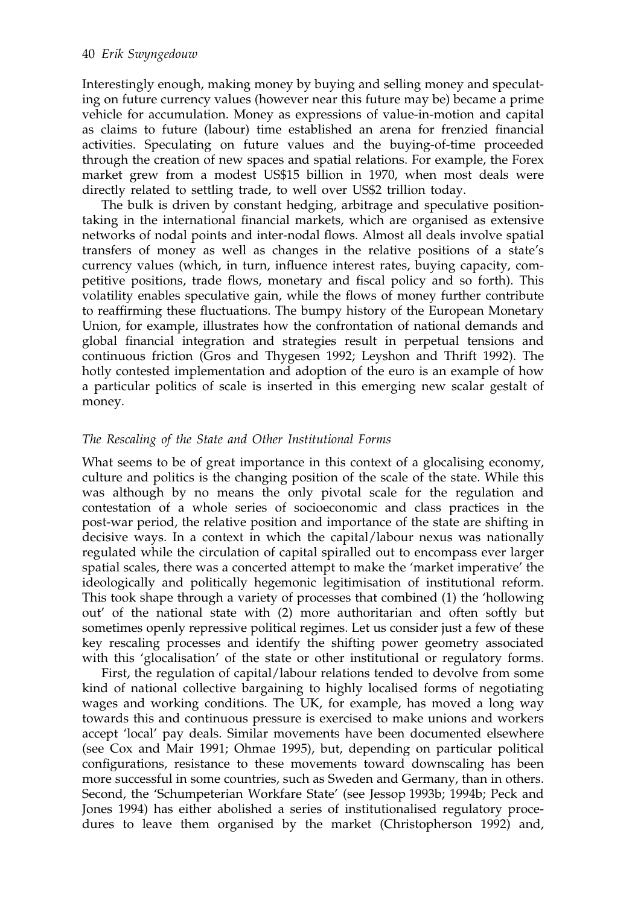Interestingly enough, making money by buying and selling money and speculating on future currency values (however near this future may be) became a prime vehicle for accumulation. Money as expressions of value-in-motion and capital as claims to future (labour) time established an arena for frenzied financial activities. Speculating on future values and the buying-of-time proceeded through the creation of new spaces and spatial relations. For example, the Forex market grew from a modest US\$15 billion in 1970, when most deals were directly related to settling trade, to well over US\$2 trillion today.

The bulk is driven by constant hedging, arbitrage and speculative positiontaking in the international financial markets, which are organised as extensive networks of nodal points and inter-nodal flows. Almost all deals involve spatial transfers of money as well as changes in the relative positions of a state's currency values (which, in turn, influence interest rates, buying capacity, competitive positions, trade flows, monetary and fiscal policy and so forth). This volatility enables speculative gain, while the flows of money further contribute to reaffirming these fluctuations. The bumpy history of the European Monetary Union, for example, illustrates how the confrontation of national demands and global financial integration and strategies result in perpetual tensions and continuous friction (Gros and Thygesen 1992; Leyshon and Thrift 1992). The hotly contested implementation and adoption of the euro is an example of how a particular politics of scale is inserted in this emerging new scalar gestalt of money.

# *The Rescaling of the State and Other Institutional Forms*

What seems to be of great importance in this context of a glocalising economy, culture and politics is the changing position of the scale of the state. While this was although by no means the only pivotal scale for the regulation and contestation of a whole series of socioeconomic and class practices in the post-war period, the relative position and importance of the state are shifting in decisive ways. In a context in which the capital/labour nexus was nationally regulated while the circulation of capital spiralled out to encompass ever larger spatial scales, there was a concerted attempt to make the 'market imperative' the ideologically and politically hegemonic legitimisation of institutional reform. This took shape through a variety of processes that combined (1) the 'hollowing out' of the national state with (2) more authoritarian and often softly but sometimes openly repressive political regimes. Let us consider just a few of these key rescaling processes and identify the shifting power geometry associated with this 'glocalisation' of the state or other institutional or regulatory forms.

First, the regulation of capital/labour relations tended to devolve from some kind of national collective bargaining to highly localised forms of negotiating wages and working conditions. The UK, for example, has moved a long way towards this and continuous pressure is exercised to make unions and workers accept 'local' pay deals. Similar movements have been documented elsewhere (see Cox and Mair 1991; Ohmae 1995), but, depending on particular political configurations, resistance to these movements toward downscaling has been more successful in some countries, such as Sweden and Germany, than in others. Second, the 'Schumpeterian Workfare State' (see Jessop 1993b; 1994b; Peck and Jones 1994) has either abolished a series of institutionalised regulatory procedures to leave them organised by the market (Christopherson 1992) and,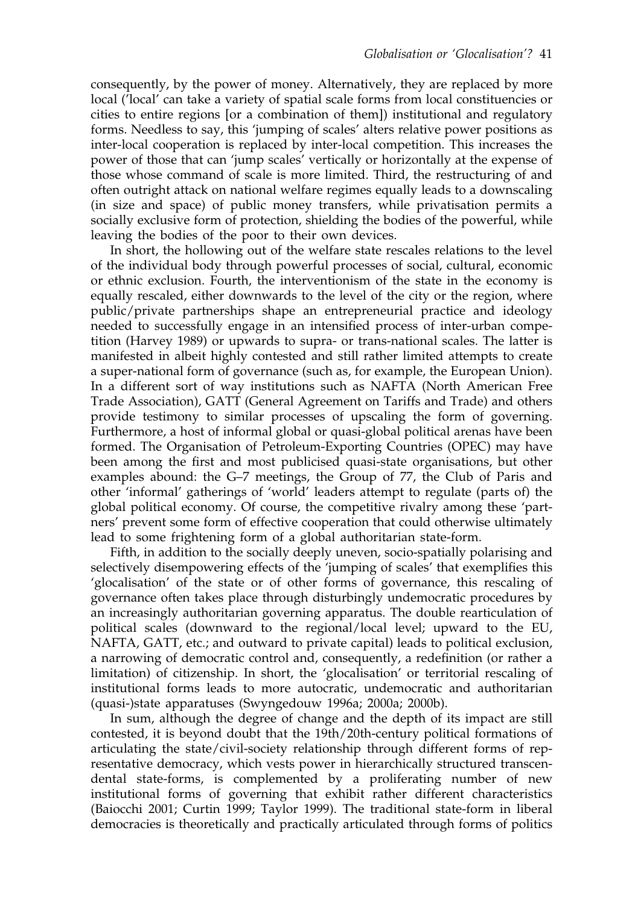consequently, by the power of money. Alternatively, they are replaced by more local ('local' can take a variety of spatial scale forms from local constituencies or cities to entire regions [or a combination of them]) institutional and regulatory forms. Needless to say, this 'jumping of scales' alters relative power positions as inter-local cooperation is replaced by inter-local competition. This increases the power of those that can 'jump scales' vertically or horizontally at the expense of those whose command of scale is more limited. Third, the restructuring of and often outright attack on national welfare regimes equally leads to a downscaling (in size and space) of public money transfers, while privatisation permits a socially exclusive form of protection, shielding the bodies of the powerful, while leaving the bodies of the poor to their own devices.

In short, the hollowing out of the welfare state rescales relations to the level of the individual body through powerful processes of social, cultural, economic or ethnic exclusion. Fourth, the interventionism of the state in the economy is equally rescaled, either downwards to the level of the city or the region, where public/private partnerships shape an entrepreneurial practice and ideology needed to successfully engage in an intensified process of inter-urban competition (Harvey 1989) or upwards to supra- or trans-national scales. The latter is manifested in albeit highly contested and still rather limited attempts to create a super-national form of governance (such as, for example, the European Union). In a different sort of way institutions such as NAFTA (North American Free Trade Association), GATT (General Agreement on Tariffs and Trade) and others provide testimony to similar processes of upscaling the form of governing. Furthermore, a host of informal global or quasi-global political arenas have been formed. The Organisation of Petroleum-Exporting Countries (OPEC) may have been among the first and most publicised quasi-state organisations, but other examples abound: the G–7 meetings, the Group of 77, the Club of Paris and other 'informal' gatherings of 'world' leaders attempt to regulate (parts of) the global political economy. Of course, the competitive rivalry among these 'partners' prevent some form of effective cooperation that could otherwise ultimately lead to some frightening form of a global authoritarian state-form.

Fifth, in addition to the socially deeply uneven, socio-spatially polarising and selectively disempowering effects of the 'jumping of scales' that exemplifies this 'glocalisation' of the state or of other forms of governance, this rescaling of governance often takes place through disturbingly undemocratic procedures by an increasingly authoritarian governing apparatus. The double rearticulation of political scales (downward to the regional/local level; upward to the EU, NAFTA, GATT, etc.; and outward to private capital) leads to political exclusion, a narrowing of democratic control and, consequently, a redefinition (or rather a limitation) of citizenship. In short, the 'glocalisation' or territorial rescaling of institutional forms leads to more autocratic, undemocratic and authoritarian (quasi-)state apparatuses (Swyngedouw 1996a; 2000a; 2000b).

In sum, although the degree of change and the depth of its impact are still contested, it is beyond doubt that the 19th/20th-century political formations of articulating the state/civil-society relationship through different forms of representative democracy, which vests power in hierarchically structured transcendental state-forms, is complemented by a proliferating number of new institutional forms of governing that exhibit rather different characteristics (Baiocchi 2001; Curtin 1999; Taylor 1999). The traditional state-form in liberal democracies is theoretically and practically articulated through forms of politics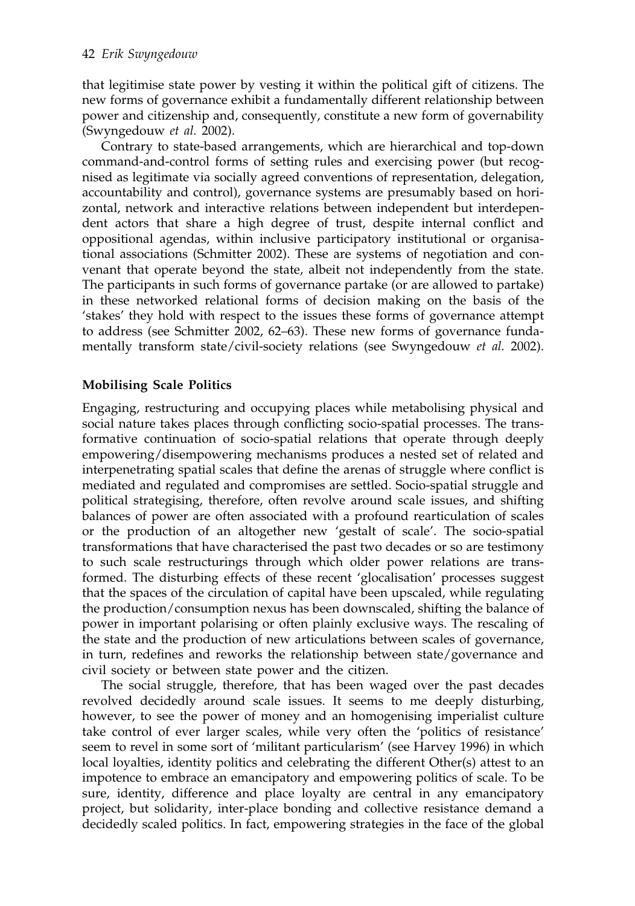that legitimise state power by vesting it within the political gift of citizens. The new forms of governance exhibit a fundamentally different relationship between power and citizenship and, consequently, constitute a new form of governability (Swyngedouw *et al.* 2002).

Contrary to state-based arrangements, which are hierarchical and top-down command-and-control forms of setting rules and exercising power (but recognised as legitimate via socially agreed conventions of representation, delegation, accountability and control), governance systems are presumably based on horizontal, network and interactive relations between independent but interdependent actors that share a high degree of trust, despite internal conflict and oppositional agendas, within inclusive participatory institutional or organisational associations (Schmitter 2002). These are systems of negotiation and convenant that operate beyond the state, albeit not independently from the state. The participants in such forms of governance partake (or are allowed to partake) in these networked relational forms of decision making on the basis of the 'stakes' they hold with respect to the issues these forms of governance attempt to address (see Schmitter 2002, 62–63). These new forms of governance fundamentally transform state/civil-society relations (see Swyngedouw *et al.* 2002).

# **Mobilising Scale Politics**

Engaging, restructuring and occupying places while metabolising physical and social nature takes places through conflicting socio-spatial processes. The transformative continuation of socio-spatial relations that operate through deeply empowering/disempowering mechanisms produces a nested set of related and interpenetrating spatial scales that define the arenas of struggle where conflict is mediated and regulated and compromises are settled. Socio-spatial struggle and political strategising, therefore, often revolve around scale issues, and shifting balances of power are often associated with a profound rearticulation of scales or the production of an altogether new 'gestalt of scale'. The socio-spatial transformations that have characterised the past two decades or so are testimony to such scale restructurings through which older power relations are transformed. The disturbing effects of these recent 'glocalisation' processes suggest that the spaces of the circulation of capital have been upscaled, while regulating the production/consumption nexus has been downscaled, shifting the balance of power in important polarising or often plainly exclusive ways. The rescaling of the state and the production of new articulations between scales of governance, in turn, redefines and reworks the relationship between state/governance and civil society or between state power and the citizen.

The social struggle, therefore, that has been waged over the past decades revolved decidedly around scale issues. It seems to me deeply disturbing, however, to see the power of money and an homogenising imperialist culture take control of ever larger scales, while very often the 'politics of resistance' seem to revel in some sort of 'militant particularism' (see Harvey 1996) in which local loyalties, identity politics and celebrating the different Other(s) attest to an impotence to embrace an emancipatory and empowering politics of scale. To be sure, identity, difference and place loyalty are central in any emancipatory project, but solidarity, inter-place bonding and collective resistance demand a decidedly scaled politics. In fact, empowering strategies in the face of the global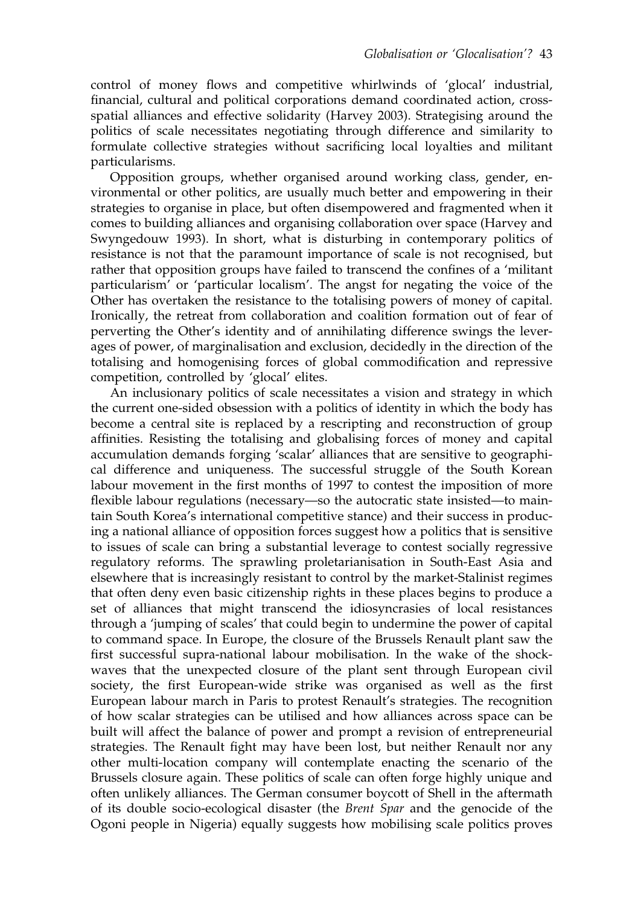control of money flows and competitive whirlwinds of 'glocal' industrial, financial, cultural and political corporations demand coordinated action, crossspatial alliances and effective solidarity (Harvey 2003). Strategising around the politics of scale necessitates negotiating through difference and similarity to formulate collective strategies without sacrificing local loyalties and militant particularisms.

Opposition groups, whether organised around working class, gender, environmental or other politics, are usually much better and empowering in their strategies to organise in place, but often disempowered and fragmented when it comes to building alliances and organising collaboration over space (Harvey and Swyngedouw 1993). In short, what is disturbing in contemporary politics of resistance is not that the paramount importance of scale is not recognised, but rather that opposition groups have failed to transcend the confines of a 'militant particularism' or 'particular localism'. The angst for negating the voice of the Other has overtaken the resistance to the totalising powers of money of capital. Ironically, the retreat from collaboration and coalition formation out of fear of perverting the Other's identity and of annihilating difference swings the leverages of power, of marginalisation and exclusion, decidedly in the direction of the totalising and homogenising forces of global commodification and repressive competition, controlled by 'glocal' elites.

An inclusionary politics of scale necessitates a vision and strategy in which the current one-sided obsession with a politics of identity in which the body has become a central site is replaced by a rescripting and reconstruction of group affinities. Resisting the totalising and globalising forces of money and capital accumulation demands forging 'scalar' alliances that are sensitive to geographical difference and uniqueness. The successful struggle of the South Korean labour movement in the first months of 1997 to contest the imposition of more flexible labour regulations (necessary—so the autocratic state insisted—to maintain South Korea's international competitive stance) and their success in producing a national alliance of opposition forces suggest how a politics that is sensitive to issues of scale can bring a substantial leverage to contest socially regressive regulatory reforms. The sprawling proletarianisation in South-East Asia and elsewhere that is increasingly resistant to control by the market-Stalinist regimes that often deny even basic citizenship rights in these places begins to produce a set of alliances that might transcend the idiosyncrasies of local resistances through a 'jumping of scales' that could begin to undermine the power of capital to command space. In Europe, the closure of the Brussels Renault plant saw the first successful supra-national labour mobilisation. In the wake of the shockwaves that the unexpected closure of the plant sent through European civil society, the first European-wide strike was organised as well as the first European labour march in Paris to protest Renault's strategies. The recognition of how scalar strategies can be utilised and how alliances across space can be built will affect the balance of power and prompt a revision of entrepreneurial strategies. The Renault fight may have been lost, but neither Renault nor any other multi-location company will contemplate enacting the scenario of the Brussels closure again. These politics of scale can often forge highly unique and often unlikely alliances. The German consumer boycott of Shell in the aftermath of its double socio-ecological disaster (the *Brent Spar* and the genocide of the Ogoni people in Nigeria) equally suggests how mobilising scale politics proves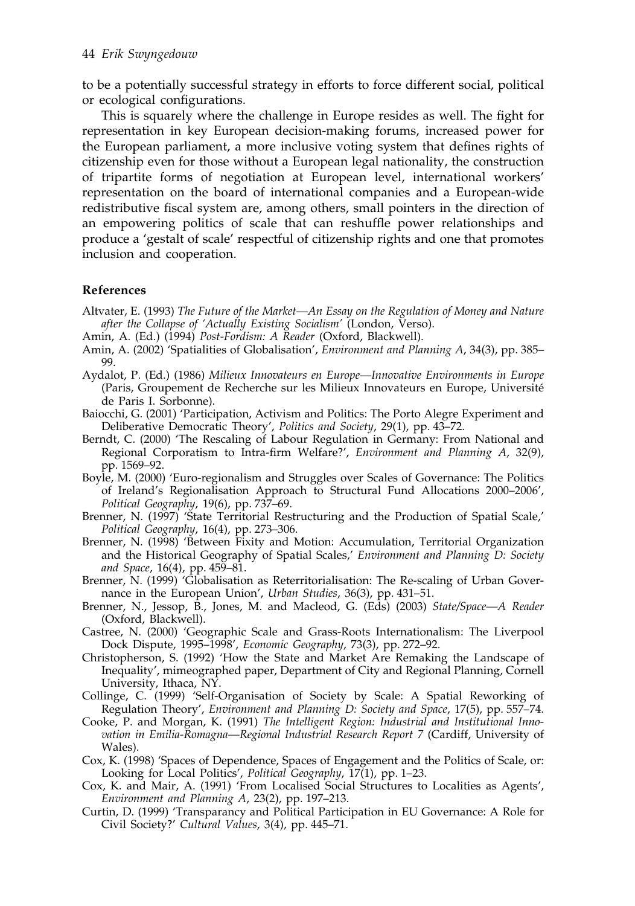to be a potentially successful strategy in efforts to force different social, political or ecological configurations.

This is squarely where the challenge in Europe resides as well. The fight for representation in key European decision-making forums, increased power for the European parliament, a more inclusive voting system that defines rights of citizenship even for those without a European legal nationality, the construction of tripartite forms of negotiation at European level, international workers' representation on the board of international companies and a European-wide redistributive fiscal system are, among others, small pointers in the direction of an empowering politics of scale that can reshuffle power relationships and produce a 'gestalt of scale' respectful of citizenship rights and one that promotes inclusion and cooperation.

#### **References**

- Altvater, E. (1993) *The Future of the Market—An Essay on the Regulation of Money and Nature after the Collapse of 'Actually Existing Socialism'* (London, Verso).
- Amin, A. (Ed.) (1994) *Post-Fordism: A Reader* (Oxford, Blackwell).
- Amin, A. (2002) 'Spatialities of Globalisation', *Environment and Planning A*, 34(3), pp. 385– 99.
- Aydalot, P. (Ed.) (1986) *Milieux Innovateurs en Europe—Innovative Environments in Europe* (Paris, Groupement de Recherche sur les Milieux Innovateurs en Europe, Universite´ de Paris I. Sorbonne).
- Baiocchi, G. (2001) 'Participation, Activism and Politics: The Porto Alegre Experiment and Deliberative Democratic Theory', *Politics and Society*, 29(1), pp. 43–72.
- Berndt, C. (2000) 'The Rescaling of Labour Regulation in Germany: From National and Regional Corporatism to Intra-firm Welfare?', *Environment and Planning A*, 32(9), pp. 1569–92.
- Boyle, M. (2000) 'Euro-regionalism and Struggles over Scales of Governance: The Politics of Ireland's Regionalisation Approach to Structural Fund Allocations 2000–2006', *Political Geography*, 19(6), pp. 737–69.
- Brenner, N. (1997) 'State Territorial Restructuring and the Production of Spatial Scale,' *Political Geography*, 16(4), pp. 273–306.
- Brenner, N. (1998) 'Between Fixity and Motion: Accumulation, Territorial Organization and the Historical Geography of Spatial Scales,' *Environment and Planning D: Society and Space*, 16(4), pp. 459–81.
- Brenner, N. (1999) 'Globalisation as Reterritorialisation: The Re-scaling of Urban Governance in the European Union', *Urban Studies*, 36(3), pp. 431–51.
- Brenner, N., Jessop, B., Jones, M. and Macleod, G. (Eds) (2003) *State/Space—A Reader* (Oxford, Blackwell).
- Castree, N. (2000) 'Geographic Scale and Grass-Roots Internationalism: The Liverpool Dock Dispute, 1995–1998', *Economic Geography*, 73(3), pp. 272–92.
- Christopherson, S. (1992) 'How the State and Market Are Remaking the Landscape of Inequality', mimeographed paper, Department of City and Regional Planning, Cornell University, Ithaca, NY.
- Collinge, C. (1999) 'Self-Organisation of Society by Scale: A Spatial Reworking of Regulation Theory', *Environment and Planning D: Society and Space*, 17(5), pp. 557–74.
- Cooke, P. and Morgan, K. (1991) *The Intelligent Region: Industrial and Institutional Innovation in Emilia-Romagna—Regional Industrial Research Report 7* (Cardiff, University of Wales).
- Cox, K. (1998) 'Spaces of Dependence, Spaces of Engagement and the Politics of Scale, or: Looking for Local Politics', *Political Geography*, 17(1), pp. 1–23.
- Cox, K. and Mair, A. (1991) 'From Localised Social Structures to Localities as Agents', *Environment and Planning A*, 23(2), pp. 197–213.
- Curtin, D. (1999) 'Transparancy and Political Participation in EU Governance: A Role for Civil Society?' *Cultural Values*, 3(4), pp. 445–71.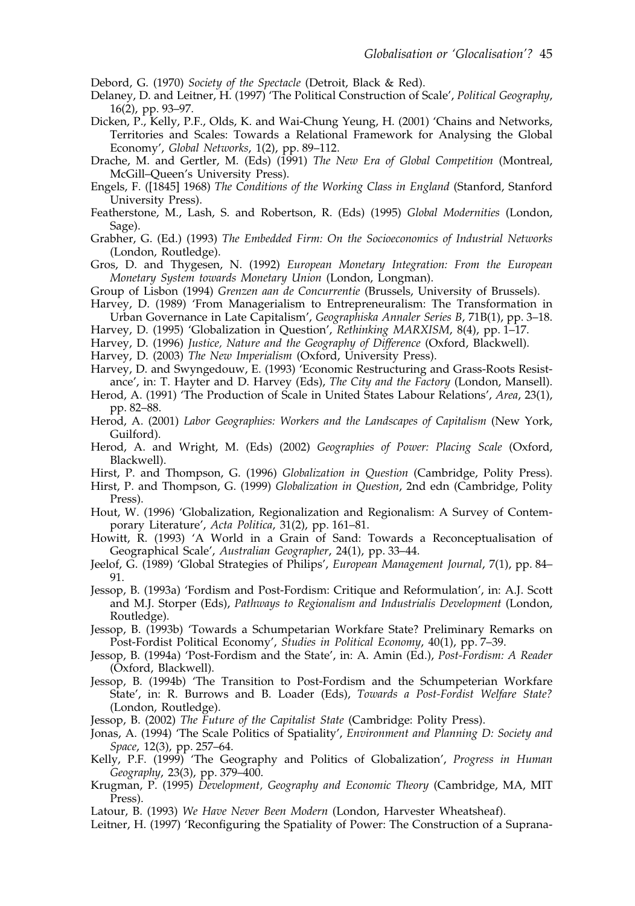Debord, G. (1970) *Society of the Spectacle* (Detroit, Black & Red).

- Delaney, D. and Leitner, H. (1997) 'The Political Construction of Scale', *Political Geography*, 16(2), pp. 93–97.
- Dicken, P., Kelly, P.F., Olds, K. and Wai-Chung Yeung, H. (2001) 'Chains and Networks, Territories and Scales: Towards a Relational Framework for Analysing the Global Economy', *Global Networks*, 1(2), pp. 89–112.
- Drache, M. and Gertler, M. (Eds) (1991) *The New Era of Global Competition* (Montreal, McGill–Queen's University Press).
- Engels, F. ([1845] 1968) *The Conditions of the Working Class in England* (Stanford, Stanford University Press).
- Featherstone, M., Lash, S. and Robertson, R. (Eds) (1995) *Global Modernities* (London, Sage).
- Grabher, G. (Ed.) (1993) *The Embedded Firm: On the Socioeconomics of Industrial Networks* (London, Routledge).
- Gros, D. and Thygesen, N. (1992) *European Monetary Integration: From the European Monetary System towards Monetary Union* (London, Longman).
- Group of Lisbon (1994) *Grenzen aan de Concurrentie* (Brussels, University of Brussels).
- Harvey, D. (1989) 'From Managerialism to Entrepreneuralism: The Transformation in Urban Governance in Late Capitalism', *Geographiska Annaler Series B*, 71B(1), pp. 3–18.
- Harvey, D. (1995) 'Globalization in Question', *Rethinking MARXISM*, 8(4), pp. 1–17.
- Harvey, D. (1996) *Justice, Nature and the Geography of Difference* (Oxford, Blackwell).
- Harvey, D. (2003) *The New Imperialism* (Oxford, University Press).
- Harvey, D. and Swyngedouw, E. (1993) 'Economic Restructuring and Grass-Roots Resistance', in: T. Hayter and D. Harvey (Eds), *The City and the Factory* (London, Mansell).
- Herod, A. (1991) 'The Production of Scale in United States Labour Relations', *Area*, 23(1), pp. 82–88.
- Herod, A. (2001) *Labor Geographies: Workers and the Landscapes of Capitalism* (New York, Guilford).
- Herod, A. and Wright, M. (Eds) (2002) *Geographies of Power: Placing Scale* (Oxford, Blackwell).
- Hirst, P. and Thompson, G. (1996) *Globalization in Question* (Cambridge, Polity Press).
- Hirst, P. and Thompson, G. (1999) *Globalization in Question*, 2nd edn (Cambridge, Polity Press).
- Hout, W. (1996) 'Globalization, Regionalization and Regionalism: A Survey of Contemporary Literature', *Acta Politica*, 31(2), pp. 161–81.
- Howitt, R. (1993) 'A World in a Grain of Sand: Towards a Reconceptualisation of Geographical Scale', *Australian Geographer*, 24(1), pp. 33–44.
- Jeelof, G. (1989) 'Global Strategies of Philips', *European Management Journal*, 7(1), pp. 84– 91.
- Jessop, B. (1993a) 'Fordism and Post-Fordism: Critique and Reformulation', in: A.J. Scott and M.J. Storper (Eds), *Pathways to Regionalism and Industrialis Development* (London, Routledge).
- Jessop, B. (1993b) 'Towards a Schumpetarian Workfare State? Preliminary Remarks on Post-Fordist Political Economy', *Studies in Political Economy*, 40(1), pp. 7–39.
- Jessop, B. (1994a) 'Post-Fordism and the State', in: A. Amin (Ed.), *Post-Fordism: A Reader* (Oxford, Blackwell).
- Jessop, B. (1994b) 'The Transition to Post-Fordism and the Schumpeterian Workfare State', in: R. Burrows and B. Loader (Eds), *Towards a Post-Fordist Welfare State?* (London, Routledge).
- Jessop, B. (2002) *The Future of the Capitalist State* (Cambridge: Polity Press).
- Jonas, A. (1994) 'The Scale Politics of Spatiality', *Environment and Planning D: Society and Space*, 12(3), pp. 257–64.
- Kelly, P.F. (1999) 'The Geography and Politics of Globalization', *Progress in Human Geography*, 23(3), pp. 379–400.
- Krugman, P. (1995) *Development, Geography and Economic Theory* (Cambridge, MA, MIT Press).
- Latour, B. (1993) *We Have Never Been Modern* (London, Harvester Wheatsheaf).
- Leitner, H. (1997) 'Reconfiguring the Spatiality of Power: The Construction of a Suprana-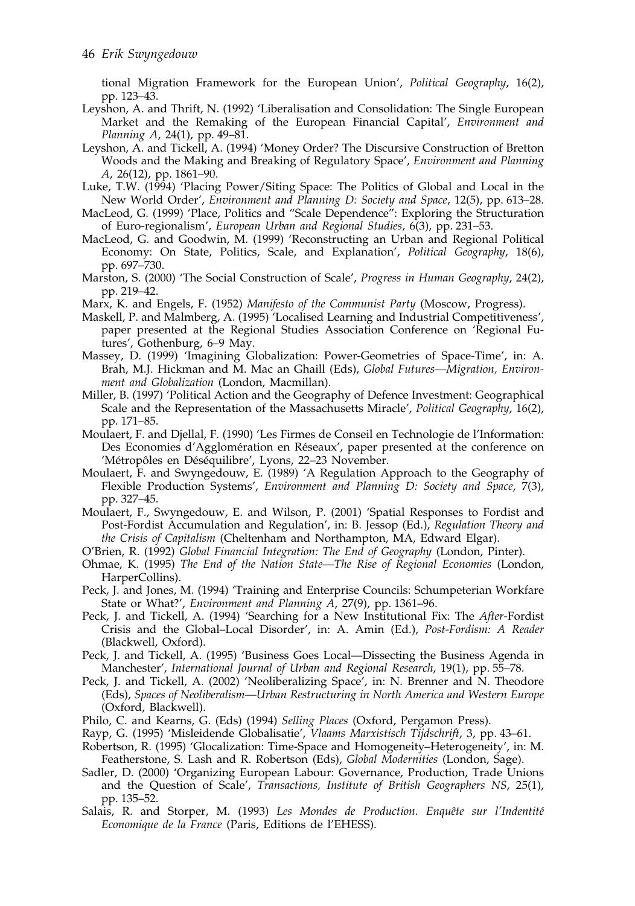tional Migration Framework for the European Union', *Political Geography*, 16(2), pp. 123–43.

- Leyshon, A. and Thrift, N. (1992) 'Liberalisation and Consolidation: The Single European Market and the Remaking of the European Financial Capital', *Environment and Planning A*, 24(1), pp. 49–81.
- Leyshon, A. and Tickell, A. (1994) 'Money Order? The Discursive Construction of Bretton Woods and the Making and Breaking of Regulatory Space', *Environment and Planning A*, 26(12), pp. 1861–90.
- Luke, T.W. (1994) 'Placing Power/Siting Space: The Politics of Global and Local in the New World Order', *Environment and Planning D: Society and Space*, 12(5), pp. 613–28.
- MacLeod, G. (1999) 'Place, Politics and "Scale Dependence": Exploring the Structuration of Euro-regionalism', *European Urban and Regional Studies*, 6(3), pp. 231–53.
- MacLeod, G. and Goodwin, M. (1999) 'Reconstructing an Urban and Regional Political Economy: On State, Politics, Scale, and Explanation', *Political Geography*, 18(6), pp. 697–730.
- Marston, S. (2000) 'The Social Construction of Scale', *Progress in Human Geography*, 24(2), pp. 219–42.
- Marx, K. and Engels, F. (1952) *Manifesto of the Communist Party* (Moscow, Progress).
- Maskell, P. and Malmberg, A. (1995) 'Localised Learning and Industrial Competitiveness', paper presented at the Regional Studies Association Conference on 'Regional Futures', Gothenburg, 6–9 May.
- Massey, D. (1999) 'Imagining Globalization: Power-Geometries of Space-Time', in: A. Brah, M.J. Hickman and M. Mac an Ghaill (Eds), *Global Futures—Migration, Environment and Globalization* (London, Macmillan).
- Miller, B. (1997) 'Political Action and the Geography of Defence Investment: Geographical Scale and the Representation of the Massachusetts Miracle', *Political Geography*, 16(2), pp. 171–85.
- Moulaert, F. and Djellal, F. (1990) 'Les Firmes de Conseil en Technologie de l'Information: Des Economies d'Agglomération en Réseaux', paper presented at the conference on 'Métropôles en Déséquilibre', Lyons, 22-23 November.
- Moulaert, F. and Swyngedouw, E. (1989) 'A Regulation Approach to the Geography of Flexible Production Systems', *Environment and Planning D: Society and Space*, 7(3), pp. 327–45.
- Moulaert, F., Swyngedouw, E. and Wilson, P. (2001) 'Spatial Responses to Fordist and Post-Fordist Accumulation and Regulation', in: B. Jessop (Ed.), *Regulation Theory and the Crisis of Capitalism* (Cheltenham and Northampton, MA, Edward Elgar).
- O'Brien, R. (1992) *Global Financial Integration: The End of Geography* (London, Pinter).
- Ohmae, K. (1995) *The End of the Nation State—The Rise of Regional Economies* (London, HarperCollins).
- Peck, J. and Jones, M. (1994) 'Training and Enterprise Councils: Schumpeterian Workfare State or What?', *Environment and Planning A*, 27(9), pp. 1361–96.
- Peck, J. and Tickell, A. (1994) 'Searching for a New Institutional Fix: The *After*-Fordist Crisis and the Global–Local Disorder', in: A. Amin (Ed.), *Post-Fordism: A Reader* (Blackwell, Oxford).
- Peck, J. and Tickell, A. (1995) 'Business Goes Local—Dissecting the Business Agenda in Manchester', *International Journal of Urban and Regional Research*, 19(1), pp. 55–78.
- Peck, J. and Tickell, A. (2002) 'Neoliberalizing Space', in: N. Brenner and N. Theodore (Eds), *Spaces of Neoliberalism—Urban Restructuring in North America and Western Europe* (Oxford, Blackwell).
- Philo, C. and Kearns, G. (Eds) (1994) *Selling Places* (Oxford, Pergamon Press).
- Rayp, G. (1995) 'Misleidende Globalisatie', *Vlaams Marxistisch Tijdschrift*, 3, pp. 43–61.
- Robertson, R. (1995) 'Glocalization: Time-Space and Homogeneity–Heterogeneity', in: M. Featherstone, S. Lash and R. Robertson (Eds), *Global Modernities* (London, Sage).
- Sadler, D. (2000) 'Organizing European Labour: Governance, Production, Trade Unions and the Question of Scale', *Transactions, Institute of British Geographers NS*, 25(1), pp. 135–52.
- Salais, R. and Storper, M. (1993) *Les Mondes de Production. Enquête sur l'Indentité Economique de la France* (Paris, Editions de l'EHESS).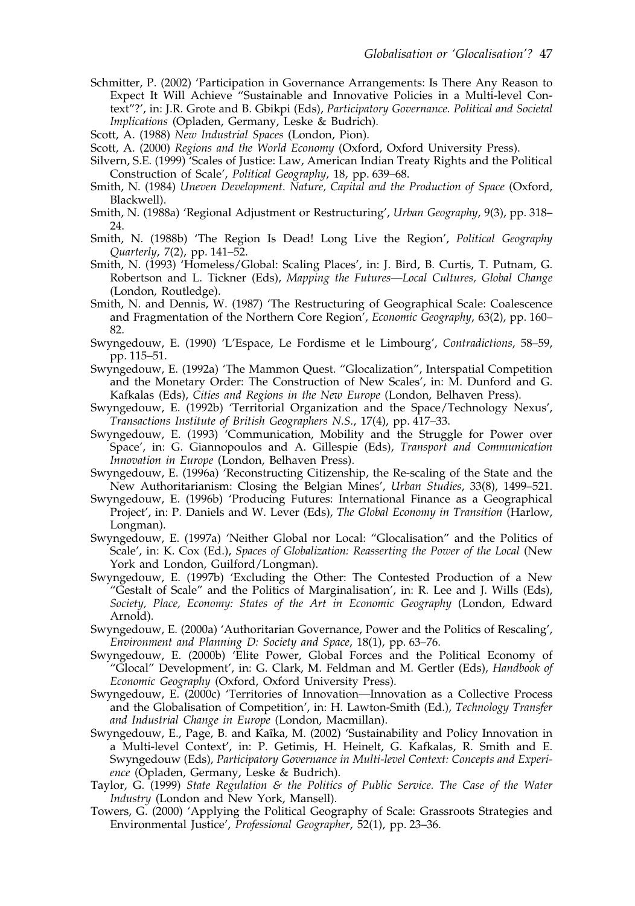- Schmitter, P. (2002) 'Participation in Governance Arrangements: Is There Any Reason to Expect It Will Achieve "Sustainable and Innovative Policies in a Multi-level Context"?', in: J.R. Grote and B. Gbikpi (Eds), *Participatory Governance. Political and Societal Implications* (Opladen, Germany, Leske & Budrich).
- Scott, A. (1988) *New Industrial Spaces* (London, Pion).
- Scott, A. (2000) *Regions and the World Economy* (Oxford, Oxford University Press).
- Silvern, S.E. (1999) 'Scales of Justice: Law, American Indian Treaty Rights and the Political Construction of Scale', *Political Geography*, 18, pp. 639–68.
- Smith, N. (1984) *Uneven Development. Nature, Capital and the Production of Space* (Oxford, Blackwell).
- Smith, N. (1988a) 'Regional Adjustment or Restructuring', *Urban Geography*, 9(3), pp. 318– 24.
- Smith, N. (1988b) 'The Region Is Dead! Long Live the Region', *Political Geography Quarterly*, 7(2), pp. 141–52.
- Smith, N. (1993) 'Homeless/Global: Scaling Places', in: J. Bird, B. Curtis, T. Putnam, G. Robertson and L. Tickner (Eds), *Mapping the Futures—Local Cultures, Global Change* (London, Routledge).
- Smith, N. and Dennis, W. (1987) 'The Restructuring of Geographical Scale: Coalescence and Fragmentation of the Northern Core Region', *Economic Geography*, 63(2), pp. 160– 82.
- Swyngedouw, E. (1990) 'L'Espace, Le Fordisme et le Limbourg', *Contradictions*, 58–59, pp. 115–51.
- Swyngedouw, E. (1992a) 'The Mammon Quest. "Glocalization", Interspatial Competition and the Monetary Order: The Construction of New Scales', in: M. Dunford and G. Kafkalas (Eds), *Cities and Regions in the New Europe* (London, Belhaven Press).
- Swyngedouw, E. (1992b) 'Territorial Organization and the Space/Technology Nexus', *Transactions Institute of British Geographers N.S.*, 17(4), pp. 417–33.
- Swyngedouw, E. (1993) 'Communication, Mobility and the Struggle for Power over Space', in: G. Giannopoulos and A. Gillespie (Eds), *Transport and Communication Innovation in Europe* (London, Belhaven Press).
- Swyngedouw, E. (1996a) 'Reconstructing Citizenship, the Re-scaling of the State and the New Authoritarianism: Closing the Belgian Mines', *Urban Studies*, 33(8), 1499–521.
- Swyngedouw, E. (1996b) 'Producing Futures: International Finance as a Geographical Project', in: P. Daniels and W. Lever (Eds), *The Global Economy in Transition* (Harlow, Longman).
- Swyngedouw, E. (1997a) 'Neither Global nor Local: "Glocalisation" and the Politics of Scale', in: K. Cox (Ed.), *Spaces of Globalization: Reasserting the Power of the Local* (New York and London, Guilford/Longman).
- Swyngedouw, E. (1997b) 'Excluding the Other: The Contested Production of a New "Gestalt of Scale" and the Politics of Marginalisation', in: R. Lee and J. Wills (Eds), *Society, Place, Economy: States of the Art in Economic Geography* (London, Edward Arnold).
- Swyngedouw, E. (2000a) 'Authoritarian Governance, Power and the Politics of Rescaling', *Environment and Planning D: Society and Space*, 18(1), pp. 63–76.
- Swyngedouw, E. (2000b) 'Elite Power, Global Forces and the Political Economy of "Glocal" Development', in: G. Clark, M. Feldman and M. Gertler (Eds), *Handbook of Economic Geography* (Oxford, Oxford University Press).
- Swyngedouw, E. (2000c) 'Territories of Innovation—Innovation as a Collective Process and the Globalisation of Competition', in: H. Lawton-Smith (Ed.), *Technology Transfer and Industrial Change in Europe* (London, Macmillan).
- Swyngedouw, E., Page, B. and Kaika, M. (2002) 'Sustainability and Policy Innovation in a Multi-level Context', in: P. Getimis, H. Heinelt, G. Kafkalas, R. Smith and E. Swyngedouw (Eds), *Participatory Governance in Multi-level Context: Concepts and Experience* (Opladen, Germany, Leske & Budrich).
- Taylor, G. (1999) *State Regulation & the Politics of Public Service. The Case of the Water Industry* (London and New York, Mansell).
- Towers, G. (2000) 'Applying the Political Geography of Scale: Grassroots Strategies and Environmental Justice', *Professional Geographer*, 52(1), pp. 23–36.